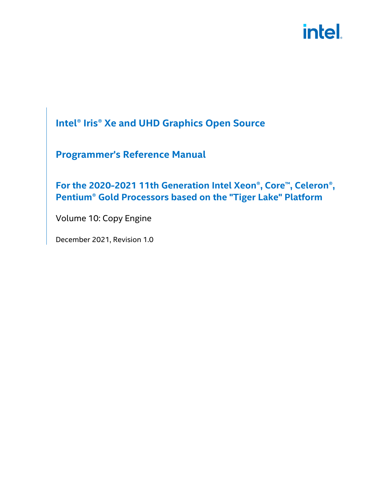# **Intel® Iris® Xe and UHD Graphics Open Source**

# **Programmer's Reference Manual**

**For the 2020-2021 11th Generation Intel Xeon®, Core™, Celeron®, Pentium® Gold Processors based on the "Tiger Lake" Platform** 

Volume 10: Copy Engine

December 2021, Revision 1.0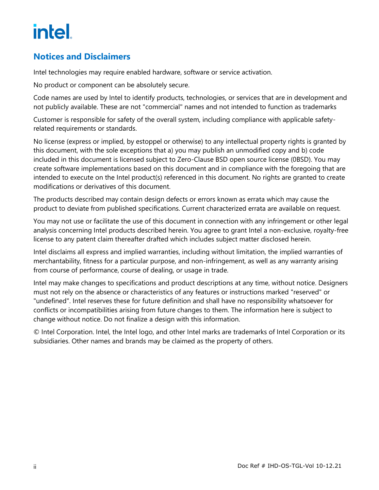# **Notices and Disclaimers**

Intel technologies may require enabled hardware, software or service activation.

No product or component can be absolutely secure.

Code names are used by Intel to identify products, technologies, or services that are in development and not publicly available. These are not "commercial" names and not intended to function as trademarks

Customer is responsible for safety of the overall system, including compliance with applicable safetyrelated requirements or standards.

No license (express or implied, by estoppel or otherwise) to any intellectual property rights is granted by this document, with the sole exceptions that a) you may publish an unmodified copy and b) code included in this document is licensed subject to Zero-Clause BSD open source license (0BSD). You may create software implementations based on this document and in compliance with the foregoing that are intended to execute on the Intel product(s) referenced in this document. No rights are granted to create modifications or derivatives of this document.

The products described may contain design defects or errors known as errata which may cause the product to deviate from published specifications. Current characterized errata are available on request.

You may not use or facilitate the use of this document in connection with any infringement or other legal analysis concerning Intel products described herein. You agree to grant Intel a non-exclusive, royalty-free license to any patent claim thereafter drafted which includes subject matter disclosed herein.

Intel disclaims all express and implied warranties, including without limitation, the implied warranties of merchantability, fitness for a particular purpose, and non-infringement, as well as any warranty arising from course of performance, course of dealing, or usage in trade.

Intel may make changes to specifications and product descriptions at any time, without notice. Designers must not rely on the absence or characteristics of any features or instructions marked "reserved" or "undefined". Intel reserves these for future definition and shall have no responsibility whatsoever for conflicts or incompatibilities arising from future changes to them. The information here is subject to change without notice. Do not finalize a design with this information.

© Intel Corporation. Intel, the Intel logo, and other Intel marks are trademarks of Intel Corporation or its subsidiaries. Other names and brands may be claimed as the property of others.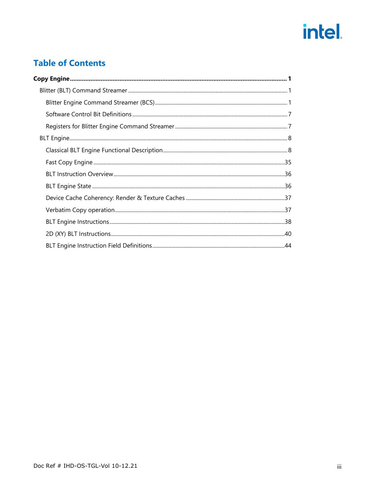# **Table of Contents**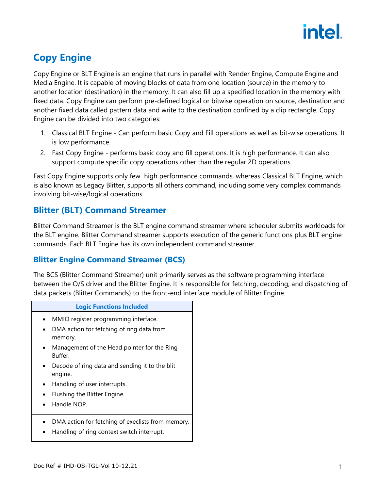

# <span id="page-4-0"></span>**Copy Engine**

Copy Engine or BLT Engine is an engine that runs in parallel with Render Engine, Compute Engine and Media Engine. It is capable of moving blocks of data from one location (source) in the memory to another location (destination) in the memory. It can also fill up a specified location in the memory with fixed data. Copy Engine can perform pre-defined logical or bitwise operation on source, destination and another fixed data called pattern data and write to the destination confined by a clip rectangle. Copy Engine can be divided into two categories:

- 1. Classical BLT Engine Can perform basic Copy and Fill operations as well as bit-wise operations. It is low performance.
- 2. Fast Copy Engine performs basic copy and fill operations. It is high performance. It can also support compute specific copy operations other than the regular 2D operations.

Fast Copy Engine supports only few high performance commands, whereas Classical BLT Engine, which is also known as Legacy Blitter, supports all others command, including some very complex commands involving bit-wise/logical operations.

# <span id="page-4-1"></span>**Blitter (BLT) Command Streamer**

Blitter Command Streamer is the BLT engine command streamer where scheduler submits workloads for the BLT engine. Blitter Command streamer supports execution of the generic functions plus BLT engine commands. Each BLT Engine has its own independent command streamer.

# <span id="page-4-2"></span>**Blitter Engine Command Streamer (BCS)**

The BCS (Blitter Command Streamer) unit primarily serves as the software programming interface between the O/S driver and the Blitter Engine. It is responsible for fetching, decoding, and dispatching of data packets (Blitter Commands) to the front-end interface module of Blitter Engine.

| <b>Logic Functions Included</b>                                                                 |
|-------------------------------------------------------------------------------------------------|
| MMIO register programming interface.                                                            |
| DMA action for fetching of ring data from<br>memory.                                            |
| Management of the Head pointer for the Ring<br>Buffer.                                          |
| Decode of ring data and sending it to the blit<br>engine.                                       |
| Handling of user interrupts.                                                                    |
| Flushing the Blitter Engine.                                                                    |
| Handle NOP.                                                                                     |
| DMA action for fetching of execlists from memory.<br>Handling of ring context switch interrupt. |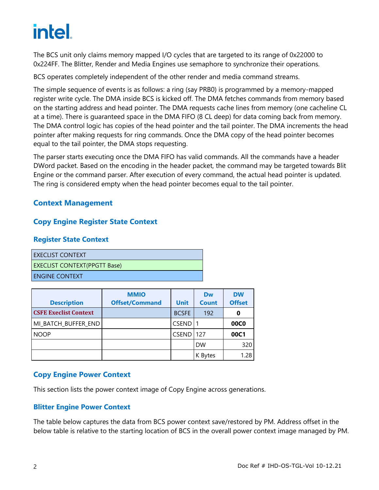The BCS unit only claims memory mapped I/O cycles that are targeted to its range of 0x22000 to 0x224FF. The Blitter, Render and Media Engines use semaphore to synchronize their operations.

BCS operates completely independent of the other render and media command streams.

The simple sequence of events is as follows: a ring (say PRB0) is programmed by a memory-mapped register write cycle. The DMA inside BCS is kicked off. The DMA fetches commands from memory based on the starting address and head pointer. The DMA requests cache lines from memory (one cacheline CL at a time). There is guaranteed space in the DMA FIFO (8 CL deep) for data coming back from memory. The DMA control logic has copies of the head pointer and the tail pointer. The DMA increments the head pointer after making requests for ring commands. Once the DMA copy of the head pointer becomes equal to the tail pointer, the DMA stops requesting.

The parser starts executing once the DMA FIFO has valid commands. All the commands have a header DWord packet. Based on the encoding in the header packet, the command may be targeted towards Blit Engine or the command parser. After execution of every command, the actual head pointer is updated. The ring is considered empty when the head pointer becomes equal to the tail pointer.

## **Context Management**

### **Copy Engine Register State Context**

#### **Register State Context**

| l execlist context                  |
|-------------------------------------|
| <b>EXECLIST CONTEXT(PPGTT Base)</b> |
| I ENGINE CONTEXT'                   |

| <b>Description</b>           | <b>MMIO</b><br><b>Offset/Command</b> | <b>Unit</b>      | Dw<br><b>Count</b> | <b>DW</b><br><b>Offset</b> |
|------------------------------|--------------------------------------|------------------|--------------------|----------------------------|
| <b>CSFE Execlist Context</b> |                                      | <b>BCSFE</b>     | 192                | 0                          |
| MI_BATCH_BUFFER_END          |                                      | <b>CSEND</b>     |                    | <b>00C0</b>                |
| <b>NOOP</b>                  |                                      | <b>CSEND 127</b> |                    | 00C1                       |
|                              |                                      |                  | <b>DW</b>          | 320                        |
|                              |                                      |                  | K Bytes            | 1.28                       |

### **Copy Engine Power Context**

This section lists the power context image of Copy Engine across generations.

### **Blitter Engine Power Context**

The table below captures the data from BCS power context save/restored by PM. Address offset in the below table is relative to the starting location of BCS in the overall power context image managed by PM.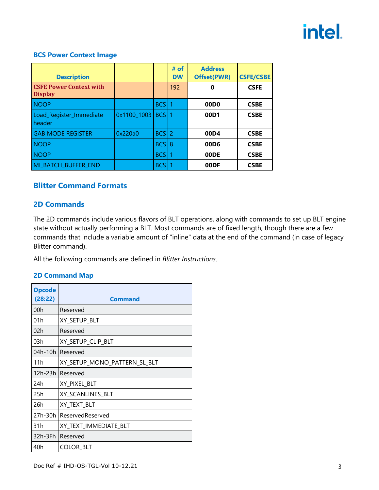#### **BCS Power Context Image**

| <b>Description</b>                               |               |            | # of<br><b>DW</b> | <b>Address</b><br><b>Offset(PWR)</b> | <b>CSFE/CSBE</b> |
|--------------------------------------------------|---------------|------------|-------------------|--------------------------------------|------------------|
| <b>CSFE Power Context with</b><br><b>Display</b> |               |            | 192               | 0                                    | <b>CSFE</b>      |
| <b>NOOP</b>                                      |               | <b>BCS</b> |                   | 00D <sub>0</sub>                     | <b>CSBE</b>      |
| Load_Register_Immediate<br>header                | $0x1100_1003$ | <b>BCS</b> |                   | 00D1                                 | <b>CSBE</b>      |
| <b>GAB MODE REGISTER</b>                         | 0x220a0       | <b>BCS</b> | 12                | 00D4                                 | <b>CSBE</b>      |
| <b>NOOP</b>                                      |               | BCS        | 8                 | 00D <sub>6</sub>                     | <b>CSBE</b>      |
| <b>NOOP</b>                                      |               | <b>BCS</b> |                   | 00DE                                 | <b>CSBE</b>      |
| MI_BATCH_BUFFER_END                              |               | <b>BCS</b> |                   | 00DF                                 | <b>CSBE</b>      |

### **Blitter Command Formats**

### **2D Commands**

The 2D commands include various flavors of BLT operations, along with commands to set up BLT engine state without actually performing a BLT. Most commands are of fixed length, though there are a few commands that include a variable amount of "inline" data at the end of the command (in case of legacy Blitter command).

All the following commands are defined in *Blitter Instructions*.

### **2D Command Map**

| <b>Opcode</b><br>(28:22) | Command                      |
|--------------------------|------------------------------|
| 00h                      | Reserved                     |
| 01h                      | XY SETUP BLT                 |
| 02h                      | Reserved                     |
| 03h                      | XY_SETUP_CLIP_BLT            |
| 04h-10h                  | Reserved                     |
| 11h                      | XY_SETUP_MONO_PATTERN_SL_BLT |
| 12h-23h                  | Reserved                     |
| 24h                      | XY_PIXEL_BLT                 |
| 25h                      | XY_SCANLINES_BLT             |
| 26h                      | XY_TEXT_BLT                  |
| 27h-30h                  | ReservedReserved             |
| 31h                      | XY_TEXT_IMMEDIATE_BLT        |
| 32h-3Fh                  | l Reserved                   |
| 40h                      | COLOR BLT                    |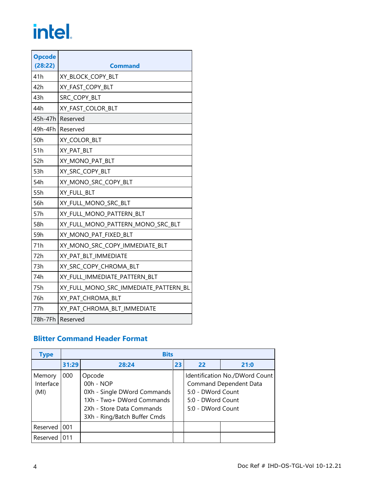| <b>Opcode</b><br>(28:22) | Command                               |
|--------------------------|---------------------------------------|
| 41h                      | XY_BLOCK_COPY_BLT                     |
| 42h                      | XY_FAST_COPY_BLT                      |
| 43h                      | SRC_COPY_BLT                          |
| 44h                      | XY FAST COLOR BLT                     |
|                          | 45h-47h Reserved                      |
| 49h-4Fh                  | Reserved                              |
| 50h                      | XY_COLOR_BLT                          |
| 51h                      | XY PAT BLT                            |
| 52h                      | XY_MONO_PAT_BLT                       |
| 53h                      | XY_SRC_COPY_BLT                       |
| 54h                      | XY_MONO_SRC_COPY_BLT                  |
| 55h                      | XY FULL BLT                           |
| 56h                      | XY_FULL_MONO_SRC_BLT                  |
| 57h                      | XY_FULL_MONO_PATTERN_BLT              |
| 58h                      | XY_FULL_MONO_PATTERN_MONO_SRC_BLT     |
| 59h                      | XY MONO PAT FIXED BLT                 |
| 71h                      | XY MONO SRC COPY IMMEDIATE BLT        |
| 72h                      | XY_PAT_BLT_IMMEDIATE                  |
| 73h                      | XY_SRC_COPY_CHROMA_BLT                |
| 74h                      | XY_FULL_IMMEDIATE_PATTERN_BLT         |
| 75h                      | XY_FULL_MONO_SRC_IMMEDIATE_PATTERN_BL |
| 76h                      | XY_PAT_CHROMA_BLT                     |
| 77h                      | XY_PAT_CHROMA_BLT_IMMEDIATE           |
|                          | 78h-7Fh   Reserved                    |

# **Blitter Command Header Format**

| <b>Type</b>                 |       | <b>Bits</b>                                                                                                                                    |    |                                                             |                                                                 |
|-----------------------------|-------|------------------------------------------------------------------------------------------------------------------------------------------------|----|-------------------------------------------------------------|-----------------------------------------------------------------|
|                             | 31:29 | 28:24                                                                                                                                          | 23 | 22                                                          | 21:0                                                            |
| Memory<br>Interface<br>(MI) | 000   | Opcode<br>$00h - NOP$<br>0Xh - Single DWord Commands<br>1Xh - Two+ DWord Commands<br>2Xh - Store Data Commands<br>3Xh - Ring/Batch Buffer Cmds |    | 5:0 - DWord Count<br>5:0 - DWord Count<br>5:0 - DWord Count | Identification No./DWord Count<br><b>Command Dependent Data</b> |
| Reserved                    | 001   |                                                                                                                                                |    |                                                             |                                                                 |
| Reserved                    | 011   |                                                                                                                                                |    |                                                             |                                                                 |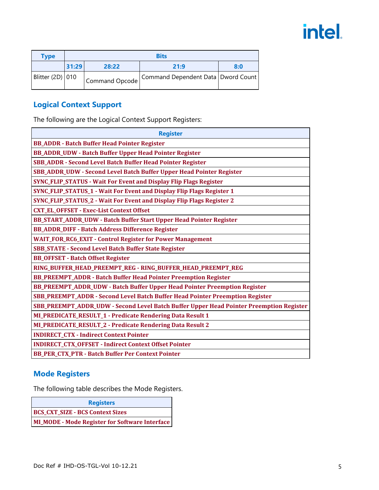| Type             |       |       | <b>Bits</b>                                           |     |
|------------------|-------|-------|-------------------------------------------------------|-----|
|                  | 31:29 | 28:22 | 21:9                                                  | 8:0 |
| Blitter (2D) 010 |       |       | Command Opcode   Command Dependent Data   Dword Count |     |

# **Logical Context Support**

The following are the Logical Context Support Registers:

| <b>Register</b>                                                                         |
|-----------------------------------------------------------------------------------------|
| <b>BB_ADDR - Batch Buffer Head Pointer Register</b>                                     |
| <b>BB_ADDR_UDW - Batch Buffer Upper Head Pointer Register</b>                           |
| SBB_ADDR - Second Level Batch Buffer Head Pointer Register                              |
| SBB_ADDR_UDW - Second Level Batch Buffer Upper Head Pointer Register                    |
| <b>SYNC_FLIP_STATUS - Wait For Event and Display Flip Flags Register</b>                |
| SYNC_FLIP_STATUS_1 - Wait For Event and Display Flip Flags Register 1                   |
| SYNC_FLIP_STATUS_2 - Wait For Event and Display Flip Flags Register 2                   |
| <b>CXT_EL_OFFSET - Exec-List Context Offset</b>                                         |
| BB_START_ADDR_UDW - Batch Buffer Start Upper Head Pointer Register                      |
| <b>BB_ADDR_DIFF - Batch Address Difference Register</b>                                 |
| <b>WAIT_FOR_RC6_EXIT - Control Register for Power Management</b>                        |
| <b>SBB_STATE - Second Level Batch Buffer State Register</b>                             |
| <b>BB_OFFSET - Batch Offset Register</b>                                                |
| RING_BUFFER_HEAD_PREEMPT_REG - RING_BUFFER_HEAD_PREEMPT_REG                             |
| BB_PREEMPT_ADDR - Batch Buffer Head Pointer Preemption Register                         |
| BB_PREEMPT_ADDR_UDW - Batch Buffer Upper Head Pointer Preemption Register               |
| SBB_PREEMPT_ADDR - Second Level Batch Buffer Head Pointer Preemption Register           |
| SBB_PREEMPT_ADDR_UDW - Second Level Batch Buffer Upper Head Pointer Preemption Register |
| MI_PREDICATE_RESULT_1 - Predicate Rendering Data Result 1                               |
| MI_PREDICATE_RESULT_2 - Predicate Rendering Data Result 2                               |
| <b>INDIRECT_CTX - Indirect Context Pointer</b>                                          |
| INDIRECT_CTX_OFFSET - Indirect Context Offset Pointer                                   |
| <b>BB PER CTX PTR - Batch Buffer Per Context Pointer</b>                                |

# **Mode Registers**

The following table describes the Mode Registers.

| <b>Registers</b>                                      |
|-------------------------------------------------------|
| <b>BCS CXT SIZE - BCS Context Sizes</b>               |
| <b>MI_MODE - Mode Register for Software Interface</b> |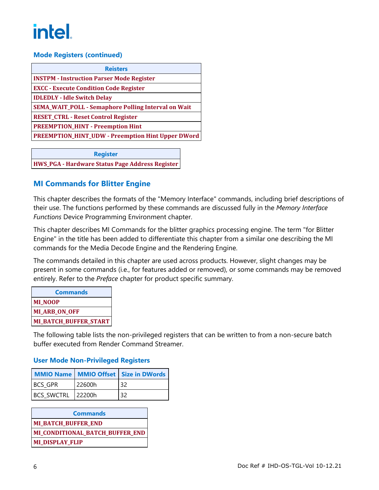### **Mode Registers (continued)**

| <b>Reisters</b>                                            |
|------------------------------------------------------------|
| <b>INSTPM - Instruction Parser Mode Register</b>           |
| <b>EXCC - Execute Condition Code Register</b>              |
| <b>IDLEDLY - Idle Switch Delay</b>                         |
| <b>SEMA_WAIT_POLL - Semaphore Polling Interval on Wait</b> |
| <b>RESET_CTRL - Reset Control Register</b>                 |
| <b>PREEMPTION_HINT - Preemption Hint</b>                   |
| <b>PREEMPTION_HINT_UDW - Preemption Hint Upper DWord</b>   |
|                                                            |

**Register HWS\_PGA - Hardware Status Page Address Register**

## **MI Commands for Blitter Engine**

This chapter describes the formats of the "Memory Interface" commands, including brief descriptions of their use. The functions performed by these commands are discussed fully in the *Memory Interface Functions* Device Programming Environment chapter.

This chapter describes MI Commands for the blitter graphics processing engine. The term "for Blitter Engine" in the title has been added to differentiate this chapter from a similar one describing the MI commands for the Media Decode Engine and the Rendering Engine.

The commands detailed in this chapter are used across products. However, slight changes may be present in some commands (i.e., for features added or removed), or some commands may be removed entirely. Refer to the *Preface* chapter for product specific summary.

| <b>Commands</b>       |
|-----------------------|
| <b>MI NOOP</b>        |
| <b>MI ARB ON OFF</b>  |
| MI_BATCH_BUFFER_START |

The following table lists the non-privileged registers that can be written to from a non-secure batch buffer executed from Render Command Streamer.

### **User Mode Non-Privileged Registers**

|                   |        | MMIO Name   MMIO Offset   Size in DWords |
|-------------------|--------|------------------------------------------|
| <b>BCS GPR</b>    | 22600h | -32                                      |
| BCS SWCTRL 22200h |        | 32                                       |

**Commands MI\_BATCH\_BUFFER\_END MI\_CONDITIONAL\_BATCH\_BUFFER\_END MI\_DISPLAY\_FLIP**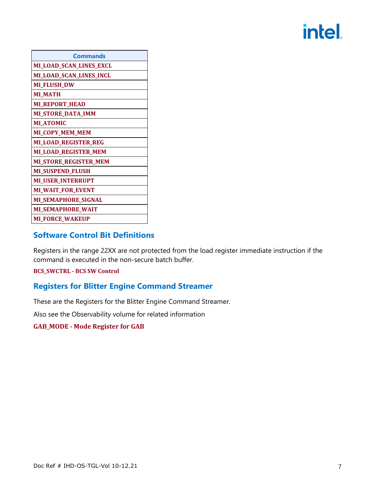| <b>Commands</b>              |
|------------------------------|
| MI_LOAD_SCAN_LINES_EXCL      |
| MI_LOAD_SCAN_LINES_INCL      |
| <b>MI_FLUSH_DW</b>           |
| <b>MI_MATH</b>               |
| <b>ML REPORT_HEAD</b>        |
| <b>MI_STORE_DATA_IMM</b>     |
| <b>MLATOMIC</b>              |
| <b>MI_COPY_MEM_MEM</b>       |
| MI_LOAD_REGISTER_REG         |
| MI_LOAD_REGISTER_MEM         |
| <b>MI_STORE_REGISTER_MEM</b> |
| MI_SUSPEND_FLUSH             |
| <b>MI_USER_INTERRUPT</b>     |
| <b>MI_WAIT_FOR_EVENT</b>     |
| MI_SEMAPHORE_SIGNAL          |
| <b>MI_SEMAPHORE_WAIT</b>     |
| <b>MI_FORCE_WAKEUP</b>       |

# <span id="page-10-0"></span>**Software Control Bit Definitions**

Registers in the range 22XX are not protected from the load register immediate instruction if the command is executed in the non-secure batch buffer.

#### **BCS\_SWCTRL - BCS SW Control**

## <span id="page-10-1"></span>**Registers for Blitter Engine Command Streamer**

These are the Registers for the Blitter Engine Command Streamer.

Also see the Observability volume for related information

**GAB\_MODE - Mode Register for GAB**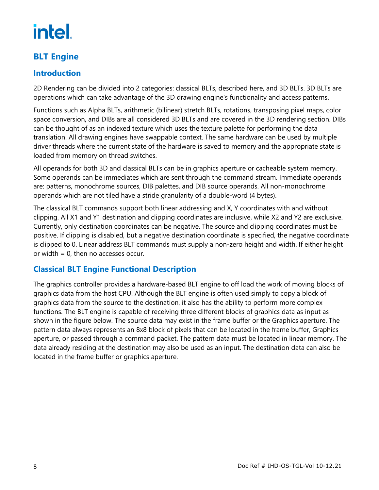# <span id="page-11-0"></span>**BLT Engine**

# **Introduction**

2D Rendering can be divided into 2 categories: classical BLTs, described here, and 3D BLTs. 3D BLTs are operations which can take advantage of the 3D drawing engine's functionality and access patterns.

Functions such as Alpha BLTs, arithmetic (bilinear) stretch BLTs, rotations, transposing pixel maps, color space conversion, and DIBs are all considered 3D BLTs and are covered in the 3D rendering section. DIBs can be thought of as an indexed texture which uses the texture palette for performing the data translation. All drawing engines have swappable context. The same hardware can be used by multiple driver threads where the current state of the hardware is saved to memory and the appropriate state is loaded from memory on thread switches.

All operands for both 3D and classical BLTs can be in graphics aperture or cacheable system memory. Some operands can be immediates which are sent through the command stream. Immediate operands are: patterns, monochrome sources, DIB palettes, and DIB source operands. All non-monochrome operands which are not tiled have a stride granularity of a double-word (4 bytes).

The classical BLT commands support both linear addressing and X, Y coordinates with and without clipping. All X1 and Y1 destination and clipping coordinates are inclusive, while X2 and Y2 are exclusive. Currently, only destination coordinates can be negative. The source and clipping coordinates must be positive. If clipping is disabled, but a negative destination coordinate is specified, the negative coordinate is clipped to 0. Linear address BLT commands must supply a non-zero height and width. If either height or width = 0, then no accesses occur.

# <span id="page-11-1"></span>**Classical BLT Engine Functional Description**

The graphics controller provides a hardware-based BLT engine to off load the work of moving blocks of graphics data from the host CPU. Although the BLT engine is often used simply to copy a block of graphics data from the source to the destination, it also has the ability to perform more complex functions. The BLT engine is capable of receiving three different blocks of graphics data as input as shown in the figure below. The source data may exist in the frame buffer or the Graphics aperture. The pattern data always represents an 8x8 block of pixels that can be located in the frame buffer, Graphics aperture, or passed through a command packet. The pattern data must be located in linear memory. The data already residing at the destination may also be used as an input. The destination data can also be located in the frame buffer or graphics aperture.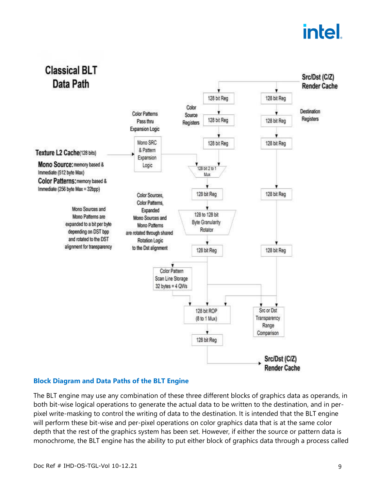

### **Block Diagram and Data Paths of the BLT Engine**

The BLT engine may use any combination of these three different blocks of graphics data as operands, in both bit-wise logical operations to generate the actual data to be written to the destination, and in perpixel write-masking to control the writing of data to the destination. It is intended that the BLT engine will perform these bit-wise and per-pixel operations on color graphics data that is at the same color depth that the rest of the graphics system has been set. However, if either the source or pattern data is monochrome, the BLT engine has the ability to put either block of graphics data through a process called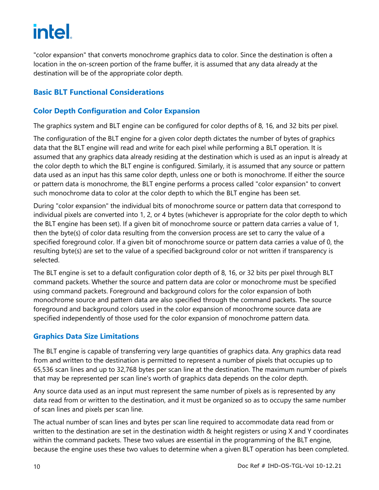"color expansion" that converts monochrome graphics data to color. Since the destination is often a location in the on-screen portion of the frame buffer, it is assumed that any data already at the destination will be of the appropriate color depth.

# **Basic BLT Functional Considerations**

# **Color Depth Configuration and Color Expansion**

The graphics system and BLT engine can be configured for color depths of 8, 16, and 32 bits per pixel.

The configuration of the BLT engine for a given color depth dictates the number of bytes of graphics data that the BLT engine will read and write for each pixel while performing a BLT operation. It is assumed that any graphics data already residing at the destination which is used as an input is already at the color depth to which the BLT engine is configured. Similarly, it is assumed that any source or pattern data used as an input has this same color depth, unless one or both is monochrome. If either the source or pattern data is monochrome, the BLT engine performs a process called "color expansion" to convert such monochrome data to color at the color depth to which the BLT engine has been set.

During "color expansion" the individual bits of monochrome source or pattern data that correspond to individual pixels are converted into 1, 2, or 4 bytes (whichever is appropriate for the color depth to which the BLT engine has been set). If a given bit of monochrome source or pattern data carries a value of 1, then the byte(s) of color data resulting from the conversion process are set to carry the value of a specified foreground color. If a given bit of monochrome source or pattern data carries a value of 0, the resulting byte(s) are set to the value of a specified background color or not written if transparency is selected.

The BLT engine is set to a default configuration color depth of 8, 16, or 32 bits per pixel through BLT command packets. Whether the source and pattern data are color or monochrome must be specified using command packets. Foreground and background colors for the color expansion of both monochrome source and pattern data are also specified through the command packets. The source foreground and background colors used in the color expansion of monochrome source data are specified independently of those used for the color expansion of monochrome pattern data.

# **Graphics Data Size Limitations**

The BLT engine is capable of transferring very large quantities of graphics data. Any graphics data read from and written to the destination is permitted to represent a number of pixels that occupies up to 65,536 scan lines and up to 32,768 bytes per scan line at the destination. The maximum number of pixels that may be represented per scan line's worth of graphics data depends on the color depth.

Any source data used as an input must represent the same number of pixels as is represented by any data read from or written to the destination, and it must be organized so as to occupy the same number of scan lines and pixels per scan line.

The actual number of scan lines and bytes per scan line required to accommodate data read from or written to the destination are set in the destination width & height registers or using X and Y coordinates within the command packets. These two values are essential in the programming of the BLT engine, because the engine uses these two values to determine when a given BLT operation has been completed.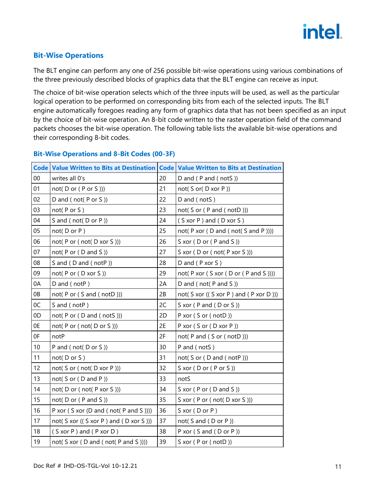

### **Bit-Wise Operations**

The BLT engine can perform any one of 256 possible bit-wise operations using various combinations of the three previously described blocks of graphics data that the BLT engine can receive as input.

The choice of bit-wise operation selects which of the three inputs will be used, as well as the particular logical operation to be performed on corresponding bits from each of the selected inputs. The BLT engine automatically foregoes reading any form of graphics data that has not been specified as an input by the choice of bit-wise operation. An 8-bit code written to the raster operation field of the command packets chooses the bit-wise operation. The following table lists the available bit-wise operations and their corresponding 8-bit codes.

|        | Code   Value Written to Bits at Destination   Code   Value Written to Bits at Destination |    |                                                               |
|--------|-------------------------------------------------------------------------------------------|----|---------------------------------------------------------------|
| $00\,$ | writes all 0's                                                                            | 20 | D and (P and (notS))                                          |
| 01     | not( $D$ or ( $P$ or $S$ )))                                                              | 21 | not( S or( D xor P ))                                         |
| 02     | D and (not(P or S))                                                                       | 22 | D and (notS)                                                  |
| 03     | not(P or S)                                                                               | 23 | not( S or ( P and ( notD )))                                  |
| 04     | S and (not(D or P))                                                                       | 24 | $(S \times C P)$ and $(D \times C S)$                         |
| 05     | $not($ D or $P$ )                                                                         | 25 | not( $P \times C$ ( $D \times C$ ) and (not( $S \times C$ ))) |
| 06     | not( $P$ or ( $not(D \times C)$ ))                                                        | 26 | $S \times$ or (D or (P and S))                                |
| 07     | not( $P$ or ( $D$ and $S$ ))                                                              | 27 | S xor (D or (not(P xor S)))                                   |
| 08     | S and (D and (notP))                                                                      | 28 | $D$ and $(P$ xor $S$ )                                        |
| 09     | not(P or (D xor S))                                                                       | 29 | not(P xor (S xor (D or (P and S ))))                          |
| 0A     | D and (notP)                                                                              | 2A | D and (not( $P$ and $S$ ))                                    |
| 0B     | not(P or (S and (notD)))                                                                  | 2B | not( S xor (( S xor P ) and ( P xor D )))                     |
| OC     | S and (notP)                                                                              | 2C | S xor (P and (D or S))                                        |
| 0D     | not( $P$ or ( $D$ and ( $notS$ )))                                                        | 2D | P xor (S or (notD))                                           |
| 0E     | not( $P$ or ( $not(D$ or $S$ )))                                                          | 2E | P xor (S or (D xor P))                                        |
| 0F     | notP                                                                                      | 2F | not( $P$ and $(S$ or $($ not $D$ $))$ )                       |
| 10     | P and (not(D or S))                                                                       | 30 | P and (notS)                                                  |
| 11     | not(D or S)                                                                               | 31 | not( $S$ or ( $D$ and ( $notP$ )))                            |
| 12     | not( $S$ or ( $not(D \nxor P)))$                                                          | 32 | $S \times$ or (D or (P or S))                                 |
| 13     | not( $S$ or ( $D$ and $P$ ))                                                              | 33 | notS                                                          |
| 14     | not(D or (not(P xor S)))                                                                  | 34 | $S \times C$ (P or (D and S))                                 |
| 15     | not( $D$ or ( $P$ and $S$ ))                                                              | 35 | S xor (P or (not(D xor S)))                                   |
| 16     | P xor (S xor (D and (not(P and S ))))                                                     | 36 | $S \times$ or (D or P)                                        |
| 17     | not( $S \times C$ ( $(S \times C P)$ and $(D \times C S)$ ))                              | 37 | not( $S$ and $(D$ or $P$ ))                                   |
| 18     | $(S \times or P)$ and $(P \times or D)$                                                   | 38 | P xor $(S$ and $(D$ or $P)$ )                                 |
| 19     | not( S xor ( D and ( not( P and S ))))                                                    | 39 | S xor (P or (notD))                                           |

#### **Bit-Wise Operations and 8-Bit Codes (00-3F)**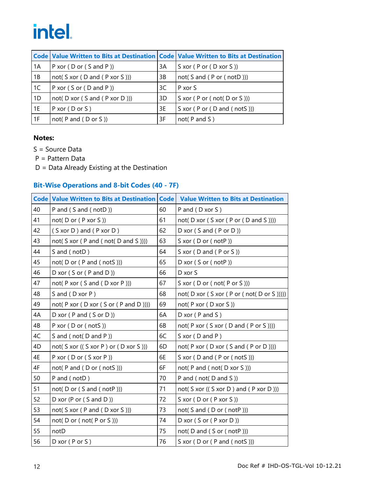|       | Code Value Written to Bits at Destination Code Value Written to Bits at Destination |    |                                      |
|-------|-------------------------------------------------------------------------------------|----|--------------------------------------|
| 1A    | P xor (D or (S and P))                                                              | 3A | S xor (P or (D xor S ))              |
| 1B    | not( $S \times C$ ( $D$ and $(P \times C)$ ))                                       | 3B | not( $S$ and $(P$ or $($ not $D$ ))) |
| 1C    | P xor $(S$ or $(D$ and $P)$ )                                                       | 3C | $P$ xor S                            |
| 1D    | not( $D \times C$ ( $S$ and $(P \times C$ $D$ ))                                    | 3D | S xor ( P or ( not( D or S )))       |
| 1 1 E | $P \times$ or ( $D \text{ or } S$ )                                                 | 3E | S xor (P or (D and (notS)))          |
| 1F    | not( $P$ and $(D$ or $S$ ))                                                         | 3F | $not($ P and S $)$                   |

### **Notes:**

S = Source Data

P = Pattern Data

D = Data Already Existing at the Destination

### **Bit-Wise Operations and 8-bit Codes (40 - 7F)**

|    | <b>Code Value Written to Bits at Destination Code</b>          |    | <b>Value Written to Bits at Destination</b>                            |
|----|----------------------------------------------------------------|----|------------------------------------------------------------------------|
| 40 | P and (S and (notD))                                           | 60 | P and (D xor S)                                                        |
| 41 | not( $D$ or ( $P$ xor $S$ ))                                   | 61 | not( $D \times C$ ( $S \times C$ ( $P \times C$ ) and $S$ ))))         |
| 42 | $(S \times O \cup D)$ and $(P \times O \cup D)$                | 62 | D xor $(S$ and $(P$ or $D)$ )                                          |
| 43 | not( $S \times C$ ( $P \times C$ ) not( $D \times C$ )))       | 63 | $S \times$ or (D or (notP))                                            |
| 44 | S and (notD)                                                   | 64 | $S \times$ or (D and (P or S))                                         |
| 45 | not(D or (P and (notS)))                                       | 65 | D xor (S or (notP))                                                    |
| 46 | $D \times C$ (S or (P and D))                                  | 66 | D xor S                                                                |
| 47 | not(P xor (S and (D xor P)))                                   | 67 | S xor $(D$ or $($ not $(P$ or $S$ $)))$                                |
| 48 | S and (D xor P)                                                | 68 | not( $D \times C$ ( $S \times C$ ( $P \times C$ not( $D \times C$ )))) |
| 49 | not( $P \times C$ ( $D \times C$ ( $S \times C$ ) and $D$ )))) | 69 | not(P xor (D xor S))                                                   |
| 4A | $D \times$ or (P and (S or D))                                 | 6A | $D \text{ xor } (P \text{ and } S)$                                    |
| 4B | P xor (D or (notS))                                            | 6B | not( $P \times C$ ( $S \times C$ ( $D \times C$ ) ( $P \times C$ ))))  |
| 4C | S and (not( $D$ and $P$ ))                                     | 6C | $S \times$ or (D and P)                                                |
| 4D | not( S xor (( S xor P ) or ( D xor S )))                       | 6D | not( $P \times C$ ( $D \times C$ ( $S \times C$ ) ( $P \times C$ ))))  |
| 4E | P xor (D or (S xor P))                                         | 6E | S xor (D and (P or (notS)))                                            |
| 4F | not( $P$ and $(D$ or $($ not $S$ )))                           | 6F | not( $P$ and ( $not(D xor S)$ ))                                       |
| 50 | P and (notD)                                                   | 70 | P and (not(D and S))                                                   |
| 51 | not( $D$ or ( $S$ and ( $notP$ )))                             | 71 | not( $S \times C$ ( $(S \times C D)$ ) and $(P \times C D)$ )          |
| 52 | D xor (P or $(S \text{ and } D)$ )                             | 72 | S xor (D or (P xor S))                                                 |
| 53 | not( $S \times C$ ( $P \times C$ ) $(D \times C S)$ ))         | 73 | not( $S$ and $(D$ or $($ not $P$ )))                                   |
| 54 | not( $D$ or ( $not(P$ or $S$ )))                               | 74 | D xor (S or (P xor D))                                                 |
| 55 | notD                                                           | 75 | not(D and (S or (notP)))                                               |
| 56 | $D \times$ or (P or S)                                         | 76 | S xor (D or (P and (notS)))                                            |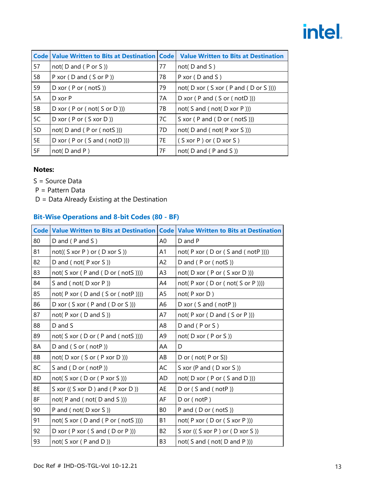|    | <b>Code   Value Written to Bits at Destination   Code</b>  |    | <b>Value Written to Bits at Destination</b>                           |  |  |  |
|----|------------------------------------------------------------|----|-----------------------------------------------------------------------|--|--|--|
| 57 | not( $D$ and $(P$ or $S$ ))                                | 77 | $not($ D and S $)$                                                    |  |  |  |
| 58 | P xor (D and (S or P))                                     | 78 | $P \times$ or (D and S)                                               |  |  |  |
| 59 | $D \times$ or ( $P \text{ or } ( \text{ not } S )$ )       | 79 | not( $D \times C$ ( $S \times C$ ( $P \times C$ ) ( $D \times C$ )))) |  |  |  |
| 5A | $D \times$ or P                                            | 7A | D xor $(P \text{ and } (S \text{ or } ( \text{ notD})))$              |  |  |  |
| 5B | D xor $(P$ or $($ not $(S$ or $D)$ $))$                    | 7В | not( S and ( not( D xor P )))                                         |  |  |  |
| 5C | $D \times$ or (P or (S $ \times$ or D ))                   | 7C | S xor $(P \text{ and } (D \text{ or } ( \text{ not } S)))$            |  |  |  |
| 5D | not( $D$ and $(P$ or $($ not $S$ )))                       | 7D | not( D and ( not( P xor S )))                                         |  |  |  |
| 5E | D xor $(P \text{ or } (S \text{ and } ( \text{ notD} ) ))$ | 7E | $(S \times \text{or } P)$ or $(D \times \text{or } S)$                |  |  |  |
| 5F | $not($ D and P $)$                                         | 7F | not( $D$ and ( $P$ and $S$ ))                                         |  |  |  |

#### **Notes:**

- S = Source Data
- P = Pattern Data
- D = Data Already Existing at the Destination

### **Bit-Wise Operations and 8-bit Codes (80 - BF)**

|    | Code   Value Written to Bits at Destination   Code   Value Written to Bits at Destination |                |                                                                             |
|----|-------------------------------------------------------------------------------------------|----------------|-----------------------------------------------------------------------------|
| 80 | $D$ and ( $P$ and $S$ )                                                                   | A0             | D and P                                                                     |
| 81 | $not((S \nvert P) \nvert (S \nvert S))$                                                   | A1             | not( $P \times C \cup D$ or ( $S \times C \cup D$ )))                       |
| 82 | D and (not( $P$ xor $S$ ))                                                                | A2             | D and (P or (notS))                                                         |
| 83 | not( $S \times C$ ( $P \times C$ ) and ( $D \times C$ )))                                 | A <sub>3</sub> | not( $D \times C$ ( $P \times C$ ( $S \times C$ $D$ )))                     |
| 84 | S and (not(D xor P))                                                                      | A4             | not( $P \times C$ ( $D \text{ or } ( \text{ not} ( S \text{ or } P ) ) )$ ) |
| 85 | not( $P \times C$ ( $D \times C$ ) and ( $S \times C$ (not $P$ )))                        | A5             | not(P x or D)                                                               |
| 86 | D xor (S xor (P and (D or S)))                                                            | A6             | D xor $(S \text{ and } (notP))$                                             |
| 87 | not( $P \times C$ ( $D \times C$ ))                                                       | A7             | not(P xor (D and (S or P )))                                                |
| 88 | D and S                                                                                   | A <sub>8</sub> | D and $(P$ or $S$ )                                                         |
| 89 | not( S xor ( D or ( P and ( notS ))))                                                     | A9             | not(D xor (P or S))                                                         |
| 8A | D and $(Sor (notP))$                                                                      | AA             | D                                                                           |
| 8B | not( $D \times C$ ( $S \times C$ ( $P \times C$ $D$ )))                                   | AB             | D or $($ not $($ P or S $))$                                                |
| 8C | S and (D or (notP))                                                                       | AC             | S xor (P and (D xor S))                                                     |
| 8D | not(Sxor(Dor(PxorS)))                                                                     | AD             | not( $D \times C$ ( $P \text{ or } (S \text{ and } D)$ ))                   |
| 8E | S xor $((S \times C)$ and $(P \times C)$                                                  | AE             | D or (S and (notP))                                                         |
| 8F | not( $P$ and ( $not(D$ and $S$ )))                                                        | AF             | D or (notP)                                                                 |
| 90 | P and (not(D xor S))                                                                      | B0             | P and (D or (notS))                                                         |
| 91 | not( S xor ( D and ( P or ( notS ))))                                                     | B1             | not( $P \times C \cup (D \times C \cup C \cup P)$ )                         |
| 92 | D xor ( $P$ xor ( $S$ and ( $D$ or $P$ )))                                                | B <sub>2</sub> | S xor $((S \times P)$ or $(D \times S))$                                    |
| 93 | not( $S \times C$ ( $P \times D$ ))                                                       | B <sub>3</sub> | not( $S$ and $($ not $(D$ and $P$ )))                                       |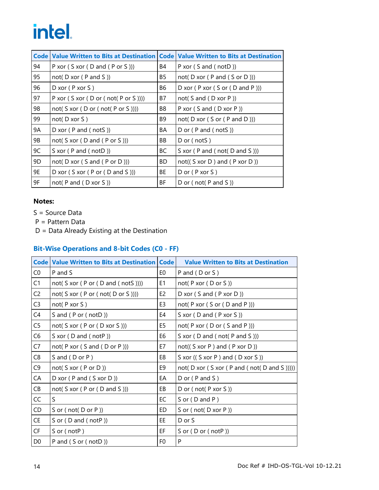| <b>Code</b> |                                                                             |     | Value Written to Bits at Destination   Code   Value Written to Bits at Destination |
|-------------|-----------------------------------------------------------------------------|-----|------------------------------------------------------------------------------------|
| 94          | P xor $(S \times or (D \times (P \times S)))$                               | B4  | P xor $(S \text{ and } ( \text{ notD } ) )$                                        |
| 95          | not( $D \times C$ ( $P \times C$ ))                                         | B5  | not( $D \times C$ ( $P \times C$ )))                                               |
| 96          | $D \times$ or (P $ \times$ or S)                                            | B6  | D xor $(P x or (S or (D and P)))$                                                  |
| 97          | P xor $(S \times C \cap D)$ or $( \text{not} (P \text{ or } S))$            | B7  | not( $S$ and $(D \nNOT P)$ )                                                       |
| 98          | not( $S \times C$ ( $D \text{ or } ( \text{ not} ( P \text{ or } S ) ) )$ ) | B8  | P xor $(S \text{ and } (D \text{ xor } P))$                                        |
| 99          | $not($ D xor S $)$                                                          | B9  | not( $D \times C$ ( $S \times C$ ( $P \times D$ )))                                |
| 9Α          | D xor $(P \text{ and } ( \text{ not } S))$                                  | BA  | D or $($ P and $($ notS $)$ )                                                      |
| 9B          | not( $S \times C$ ( $D$ and $(P \text{ or } S)$ ))                          | BB  | D or (notS)                                                                        |
| 9C          | S xor (P and (notD))                                                        | ВC  | S xor ( $P$ and ( $not(D$ and $S$ )))                                              |
| 9D          | not( $D \times C$ ( $S \times C$ ) ( $P \times C$ )))                       | BD. | $not((S \nvert D)$ and $(P \nvert D))$                                             |
| 9E          | D xor $(S \times C \cap P)$ or $(D \times C)$                               | ВE  | $D$ or ( $P$ xor $S$ )                                                             |
| 9F          | not( $P$ and $(D \times C)$ )                                               | ΒF  | D or (not( $P$ and $S$ ))                                                          |

### **Notes:**

- S = Source Data
- P = Pattern Data
- D = Data Already Existing at the Destination

## **Bit-Wise Operations and 8-bit Codes (C0 - FF)**

|                | <b>Code Value Written to Bits at Destination Code</b>                     |                | <b>Value Written to Bits at Destination</b>                    |
|----------------|---------------------------------------------------------------------------|----------------|----------------------------------------------------------------|
| CO             | P and S                                                                   | E0             | P and (D or S)                                                 |
| C1             | not( $S \times C$ ( $P \text{ or } (D \text{ and } ( \text{ not } S)))$ ) | E <sub>1</sub> | not(P xor (D or S))                                            |
| C <sub>2</sub> | not( S xor ( P or ( not( D or S ))))                                      | E <sub>2</sub> | D xor $(S \text{ and } (P \text{ xor } D))$                    |
| C <sub>3</sub> | not(P x or S)                                                             | E3             | not( $P \times C \times (S \times C \times D \times P)$ )      |
| C4             | S and (P or (notD))                                                       | E4             | S xor (D and (P xor S))                                        |
| C <sub>5</sub> | not( $S \times C$ ( $P \times C$ ( $D \times C$ $S$ )))                   | E5             | not( $P \times C \cup (D \times (S \times P))$ )               |
| C <sub>6</sub> | S xor $(D \text{ and } ( \text{ notP } )$                                 | E6             | S xor (D and (not(P and S)))                                   |
| C7             | not( $P \times C$ ( $S \times C$ ) ( $D \times C$ )))                     | E7             | $not((S \times P)$ and $(P \times or D))$                      |
| C <sub>8</sub> | S and (D or P)                                                            | E8             | S xor $((S \times P)$ and $(D \times S))$                      |
| C <sub>9</sub> | not( $S \times C$ ( $P \text{ or } D$ ))                                  | E9             | not( $D \times C$ ( $S \times C$ ) and (not( $D \times C$ )))) |
| CA             | D xor (P and (S xor D))                                                   | EA             | $D$ or ( $P$ and $S$ )                                         |
| CB             | not( $S \times C$ ( $P \text{ or } (D \text{ and } S)$ ))                 | EB             | D or $($ not $($ P xor S $))$                                  |
| CC             | S                                                                         | EC             | S or (D and P)                                                 |
| CD             | S or $($ not $($ D or P $))$                                              | ED             | S or $($ not $($ D xor P $))$                                  |
| <b>CE</b>      | S or $(D \text{ and } ( \text{ notP } )$                                  | EE             | D or S                                                         |
| CF             | S or $(notP)$                                                             | EF             | S or $(D$ or $($ not $P$ $))$                                  |
| D <sub>0</sub> | P and $(Sor (notD))$                                                      | F <sub>0</sub> | P                                                              |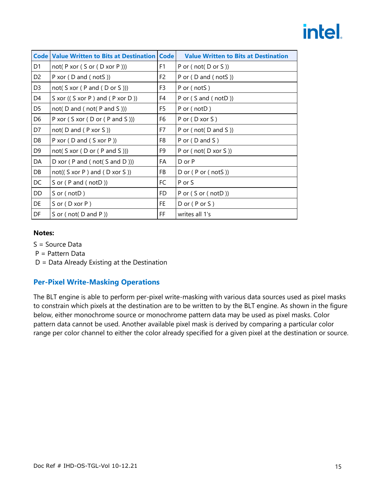|                | <b>Code Value Written to Bits at Destination Code</b>     |                | <b>Value Written to Bits at Destination</b> |
|----------------|-----------------------------------------------------------|----------------|---------------------------------------------|
| D <sub>1</sub> | not( $P \times C \subseteq S$ or $(D \times C \cap P))$ ) | F <sub>1</sub> | P or $($ not $($ D or S $))$                |
| D <sub>2</sub> | P xor $(D \text{ and } ( \text{ not } S))$                | F <sub>2</sub> | P or $(D \text{ and } ( \text{ not } S))$   |
| D <sub>3</sub> | not( $S \times C$ ( $P \times C$ )))                      | F3             | P or (notS)                                 |
| D4             | S xor $((S \times P)$ and $(P \times P))$                 | F4             | P or $(S \text{ and } ( \text{ notD } ) )$  |
| D <sub>5</sub> | not( $D$ and ( $not(P$ and $S$ )))                        | F5             | P or (notD)                                 |
| D <sub>6</sub> | P xor (S xor (D or (P and S)))                            | F6             | P or (D xor S)                              |
| D7             | not( $D$ and ( $P$ xor $S$ ))                             | F7             | P or $($ not $($ D and S $)$ )              |
| D <sub>8</sub> | P xor $(D \text{ and } (S \text{ xor } P))$               | F8             | P or $(D$ and $S$ )                         |
| D <sub>9</sub> | not( $S \times C$ ( $D \text{ or } (P \text{ and } S)$ )) | F9             | P or (not(D xor S))                         |
| DA             | D xor ( $P$ and ( $not(S$ and $D$ )))                     | FA             | D or P                                      |
| DB             | $not((S \nvert P)$ and $(D \nvert S))$                    | FB             | D or $(P$ or $($ notS $)$ )                 |
| DC             | S or $(P \text{ and } ( \text{ notD } ) )$                | FC             | P or S                                      |
| DD             | $S$ or (notD)                                             | FD             | P or $(S$ or $($ not $D)$ )                 |
| DE             | $S$ or $(D \nxor P)$                                      | FE.            | $D$ or ( $P$ or $S$ )                       |
| DF             | S or (not( $D$ and $P$ ))                                 | FF             | writes all 1's                              |

### **Notes:**

- S = Source Data
- P = Pattern Data
- D = Data Already Existing at the Destination

## **Per-Pixel Write-Masking Operations**

The BLT engine is able to perform per-pixel write-masking with various data sources used as pixel masks to constrain which pixels at the destination are to be written to by the BLT engine. As shown in the figure below, either monochrome source or monochrome pattern data may be used as pixel masks. Color pattern data cannot be used. Another available pixel mask is derived by comparing a particular color range per color channel to either the color already specified for a given pixel at the destination or source.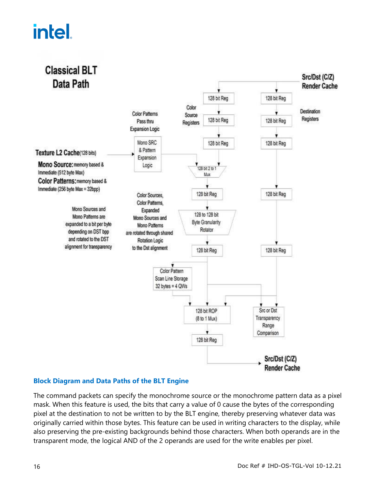

### **Block Diagram and Data Paths of the BLT Engine**

The command packets can specify the monochrome source or the monochrome pattern data as a pixel mask. When this feature is used, the bits that carry a value of 0 cause the bytes of the corresponding pixel at the destination to not be written to by the BLT engine, thereby preserving whatever data was originally carried within those bytes. This feature can be used in writing characters to the display, while also preserving the pre-existing backgrounds behind those characters. When both operands are in the transparent mode, the logical AND of the 2 operands are used for the write enables per pixel.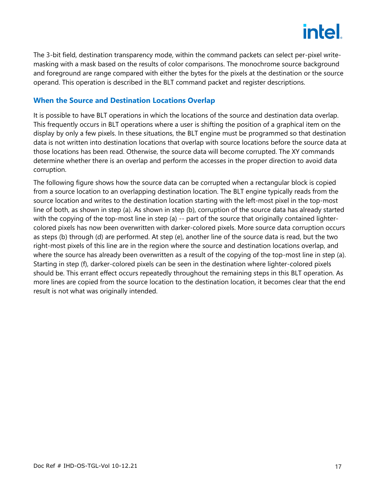

The 3-bit field, destination transparency mode, within the command packets can select per-pixel writemasking with a mask based on the results of color comparisons. The monochrome source background and foreground are range compared with either the bytes for the pixels at the destination or the source operand. This operation is described in the BLT command packet and register descriptions.

### **When the Source and Destination Locations Overlap**

It is possible to have BLT operations in which the locations of the source and destination data overlap. This frequently occurs in BLT operations where a user is shifting the position of a graphical item on the display by only a few pixels. In these situations, the BLT engine must be programmed so that destination data is not written into destination locations that overlap with source locations before the source data at those locations has been read. Otherwise, the source data will become corrupted. The XY commands determine whether there is an overlap and perform the accesses in the proper direction to avoid data corruption.

The following figure shows how the source data can be corrupted when a rectangular block is copied from a source location to an overlapping destination location. The BLT engine typically reads from the source location and writes to the destination location starting with the left-most pixel in the top-most line of both, as shown in step (a). As shown in step (b), corruption of the source data has already started with the copying of the top-most line in step (a) -- part of the source that originally contained lightercolored pixels has now been overwritten with darker-colored pixels. More source data corruption occurs as steps (b) through (d) are performed. At step (e), another line of the source data is read, but the two right-most pixels of this line are in the region where the source and destination locations overlap, and where the source has already been overwritten as a result of the copying of the top-most line in step (a). Starting in step (f), darker-colored pixels can be seen in the destination where lighter-colored pixels should be. This errant effect occurs repeatedly throughout the remaining steps in this BLT operation. As more lines are copied from the source location to the destination location, it becomes clear that the end result is not what was originally intended.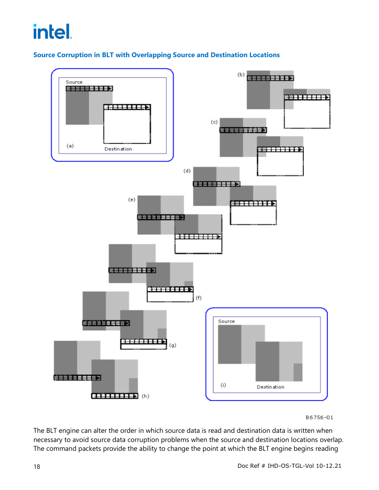## **Source Corruption in BLT with Overlapping Source and Destination Locations**



B6756-01

The BLT engine can alter the order in which source data is read and destination data is written when necessary to avoid source data corruption problems when the source and destination locations overlap. The command packets provide the ability to change the point at which the BLT engine begins reading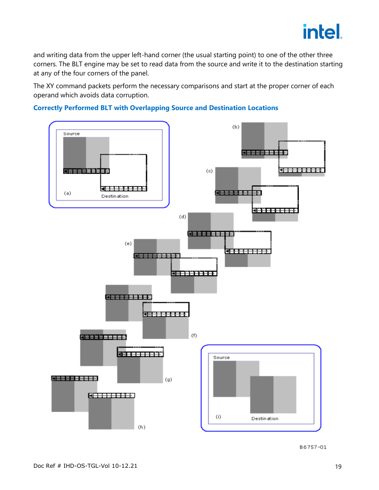

and writing data from the upper left-hand corner (the usual starting point) to one of the other three corners. The BLT engine may be set to read data from the source and write it to the destination starting at any of the four corners of the panel.

The XY command packets perform the necessary comparisons and start at the proper corner of each operand which avoids data corruption.



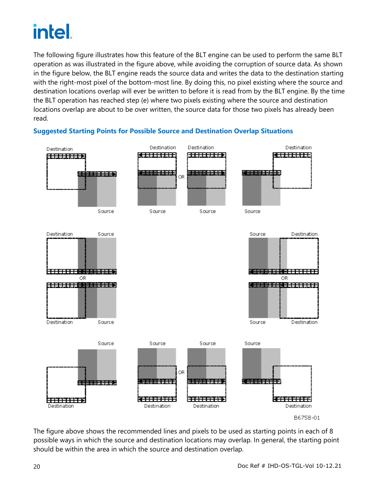The following figure illustrates how this feature of the BLT engine can be used to perform the same BLT operation as was illustrated in the figure above, while avoiding the corruption of source data. As shown in the figure below, the BLT engine reads the source data and writes the data to the destination starting with the right-most pixel of the bottom-most line. By doing this, no pixel existing where the source and destination locations overlap will ever be written to before it is read from by the BLT engine. By the time the BLT operation has reached step (e) where two pixels existing where the source and destination locations overlap are about to be over written, the source data for those two pixels has already been read.



# **Suggested Starting Points for Possible Source and Destination Overlap Situations**

The figure above shows the recommended lines and pixels to be used as starting points in each of 8 possible ways in which the source and destination locations may overlap. In general, the starting point should be within the area in which the source and destination overlap.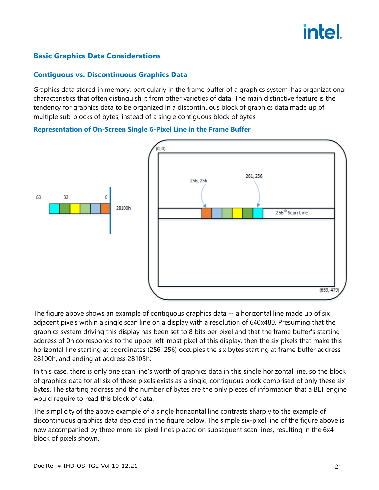# **Basic Graphics Data Considerations**

### **Contiguous vs. Discontinuous Graphics Data**

Graphics data stored in memory, particularly in the frame buffer of a graphics system, has organizational characteristics that often distinguish it from other varieties of data. The main distinctive feature is the tendency for graphics data to be organized in a discontinuous block of graphics data made up of multiple sub-blocks of bytes, instead of a single contiguous block of bytes.

**Representation of On-Screen Single 6-Pixel Line in the Frame Buffer**



The figure above shows an example of contiguous graphics data -- a horizontal line made up of six adjacent pixels within a single scan line on a display with a resolution of 640x480. Presuming that the graphics system driving this display has been set to 8 bits per pixel and that the frame buffer's starting address of 0h corresponds to the upper left-most pixel of this display, then the six pixels that make this horizontal line starting at coordinates (256, 256) occupies the six bytes starting at frame buffer address 28100h, and ending at address 28105h.

In this case, there is only one scan line's worth of graphics data in this single horizontal line, so the block of graphics data for all six of these pixels exists as a single, contiguous block comprised of only these six bytes. The starting address and the number of bytes are the only pieces of information that a BLT engine would require to read this block of data.

The simplicity of the above example of a single horizontal line contrasts sharply to the example of discontinuous graphics data depicted in the figure below. The simple six-pixel line of the figure above is now accompanied by three more six-pixel lines placed on subsequent scan lines, resulting in the 6x4 block of pixels shown.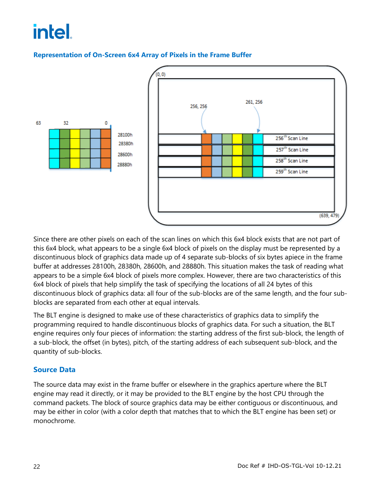

### **Representation of On-Screen 6x4 Array of Pixels in the Frame Buffer**

Since there are other pixels on each of the scan lines on which this 6x4 block exists that are not part of this 6x4 block, what appears to be a single 6x4 block of pixels on the display must be represented by a discontinuous block of graphics data made up of 4 separate sub-blocks of six bytes apiece in the frame buffer at addresses 28100h, 28380h, 28600h, and 28880h. This situation makes the task of reading what appears to be a simple 6x4 block of pixels more complex. However, there are two characteristics of this 6x4 block of pixels that help simplify the task of specifying the locations of all 24 bytes of this discontinuous block of graphics data: all four of the sub-blocks are of the same length, and the four subblocks are separated from each other at equal intervals.

The BLT engine is designed to make use of these characteristics of graphics data to simplify the programming required to handle discontinuous blocks of graphics data. For such a situation, the BLT engine requires only four pieces of information: the starting address of the first sub-block, the length of a sub-block, the offset (in bytes), pitch, of the starting address of each subsequent sub-block, and the quantity of sub-blocks.

## **Source Data**

The source data may exist in the frame buffer or elsewhere in the graphics aperture where the BLT engine may read it directly, or it may be provided to the BLT engine by the host CPU through the command packets. The block of source graphics data may be either contiguous or discontinuous, and may be either in color (with a color depth that matches that to which the BLT engine has been set) or monochrome.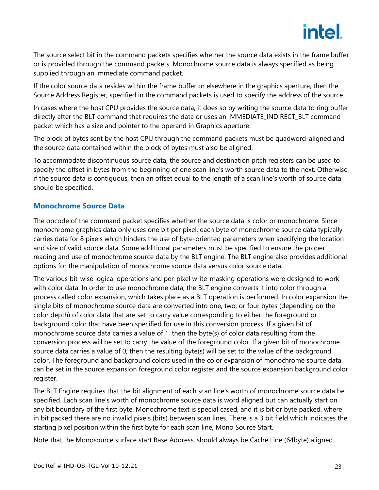

The source select bit in the command packets specifies whether the source data exists in the frame buffer or is provided through the command packets. Monochrome source data is always specified as being supplied through an immediate command packet.

If the color source data resides within the frame buffer or elsewhere in the graphics aperture, then the Source Address Register, specified in the command packets is used to specify the address of the source.

In cases where the host CPU provides the source data, it does so by writing the source data to ring buffer directly after the BLT command that requires the data or uses an IMMEDIATE\_INDIRECT\_BLT command packet which has a size and pointer to the operand in Graphics aperture.

The block of bytes sent by the host CPU through the command packets must be quadword-aligned and the source data contained within the block of bytes must also be aligned.

To accommodate discontinuous source data, the source and destination pitch registers can be used to specify the offset in bytes from the beginning of one scan line's worth source data to the next. Otherwise, if the source data is contiguous, then an offset equal to the length of a scan line's worth of source data should be specified.

### **Monochrome Source Data**

The opcode of the command packet specifies whether the source data is color or monochrome. Since monochrome graphics data only uses one bit per pixel, each byte of monochrome source data typically carries data for 8 pixels which hinders the use of byte-oriented parameters when specifying the location and size of valid source data. Some additional parameters must be specified to ensure the proper reading and use of monochrome source data by the BLT engine. The BLT engine also provides additional options for the manipulation of monochrome source data versus color source data.

The various bit-wise logical operations and per-pixel write-masking operations were designed to work with color data. In order to use monochrome data, the BLT engine converts it into color through a process called color expansion, which takes place as a BLT operation is performed. In color expansion the single bits of monochrome source data are converted into one, two, or four bytes (depending on the color depth) of color data that are set to carry value corresponding to either the foreground or background color that have been specified for use in this conversion process. If a given bit of monochrome source data carries a value of 1, then the byte(s) of color data resulting from the conversion process will be set to carry the value of the foreground color. If a given bit of monochrome source data carries a value of 0, then the resulting byte(s) will be set to the value of the background color. The foreground and background colors used in the color expansion of monochrome source data can be set in the source expansion foreground color register and the source expansion background color register.

The BLT Engine requires that the bit alignment of each scan line's worth of monochrome source data be specified. Each scan line's worth of monochrome source data is word aligned but can actually start on any bit boundary of the first byte. Monochrome text is special cased, and it is bit or byte packed, where in bit packed there are no invalid pixels (bits) between scan lines. There is a 3 bit field which indicates the starting pixel position within the first byte for each scan line, Mono Source Start.

Note that the Monosource surface start Base Address, should always be Cache Line (64byte) aligned.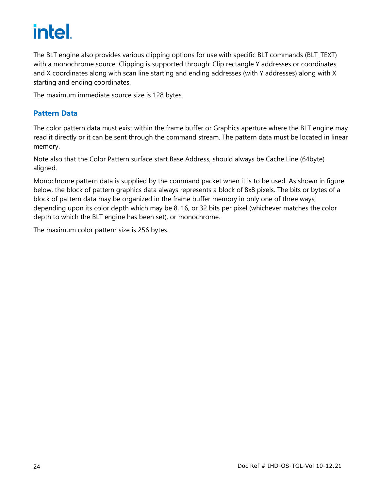The BLT engine also provides various clipping options for use with specific BLT commands (BLT\_TEXT) with a monochrome source. Clipping is supported through: Clip rectangle Y addresses or coordinates and X coordinates along with scan line starting and ending addresses (with Y addresses) along with X starting and ending coordinates.

The maximum immediate source size is 128 bytes.

## **Pattern Data**

The color pattern data must exist within the frame buffer or Graphics aperture where the BLT engine may read it directly or it can be sent through the command stream. The pattern data must be located in linear memory.

Note also that the Color Pattern surface start Base Address, should always be Cache Line (64byte) aligned.

Monochrome pattern data is supplied by the command packet when it is to be used. As shown in figure below, the block of pattern graphics data always represents a block of 8x8 pixels. The bits or bytes of a block of pattern data may be organized in the frame buffer memory in only one of three ways, depending upon its color depth which may be 8, 16, or 32 bits per pixel (whichever matches the color depth to which the BLT engine has been set), or monochrome.

The maximum color pattern size is 256 bytes.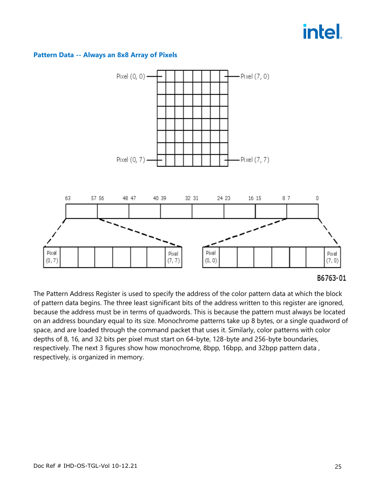#### **Pattern Data -- Always an 8x8 Array of Pixels**



#### B6763-01

The Pattern Address Register is used to specify the address of the color pattern data at which the block of pattern data begins. The three least significant bits of the address written to this register are ignored, because the address must be in terms of quadwords. This is because the pattern must always be located on an address boundary equal to its size. Monochrome patterns take up 8 bytes, or a single quadword of space, and are loaded through the command packet that uses it. Similarly, color patterns with color depths of 8, 16, and 32 bits per pixel must start on 64-byte, 128-byte and 256-byte boundaries, respectively. The next 3 figures show how monochrome, 8bpp, 16bpp, and 32bpp pattern data , respectively, is organized in memory.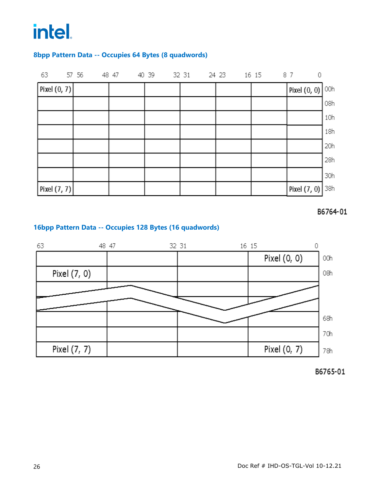### **8bpp Pattern Data -- Occupies 64 Bytes (8 quadwords)**

| 63                      |  |  | 57 56  48  47  40  39  32  31  24  23  16  15  87 |  |  |  |  | $\overline{0}$ |     |
|-------------------------|--|--|---------------------------------------------------|--|--|--|--|----------------|-----|
| $\lceil$ Pixel $(0, 7)$ |  |  |                                                   |  |  |  |  | Pixel (0, 0)   | 00h |
|                         |  |  |                                                   |  |  |  |  |                | 08h |
|                         |  |  |                                                   |  |  |  |  |                | 10h |
|                         |  |  |                                                   |  |  |  |  |                | 18h |
|                         |  |  |                                                   |  |  |  |  |                | 20h |
|                         |  |  |                                                   |  |  |  |  |                | 28h |
|                         |  |  |                                                   |  |  |  |  |                | 30h |
| Pixel $(7, 7)$          |  |  |                                                   |  |  |  |  | Pixel (7, 0)   | 38h |



### **16bpp Pattern Data -- Occupies 128 Bytes (16 quadwords)**



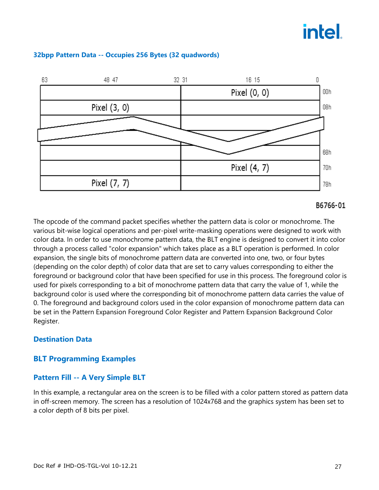

#### **32bpp Pattern Data -- Occupies 256 Bytes (32 quadwords)**

#### B6766-01

The opcode of the command packet specifies whether the pattern data is color or monochrome. The various bit-wise logical operations and per-pixel write-masking operations were designed to work with color data. In order to use monochrome pattern data, the BLT engine is designed to convert it into color through a process called "color expansion" which takes place as a BLT operation is performed. In color expansion, the single bits of monochrome pattern data are converted into one, two, or four bytes (depending on the color depth) of color data that are set to carry values corresponding to either the foreground or background color that have been specified for use in this process. The foreground color is used for pixels corresponding to a bit of monochrome pattern data that carry the value of 1, while the background color is used where the corresponding bit of monochrome pattern data carries the value of 0. The foreground and background colors used in the color expansion of monochrome pattern data can be set in the Pattern Expansion Foreground Color Register and Pattern Expansion Background Color Register.

## **Destination Data**

## **BLT Programming Examples**

### **Pattern Fill -- A Very Simple BLT**

In this example, a rectangular area on the screen is to be filled with a color pattern stored as pattern data in off-screen memory. The screen has a resolution of 1024x768 and the graphics system has been set to a color depth of 8 bits per pixel.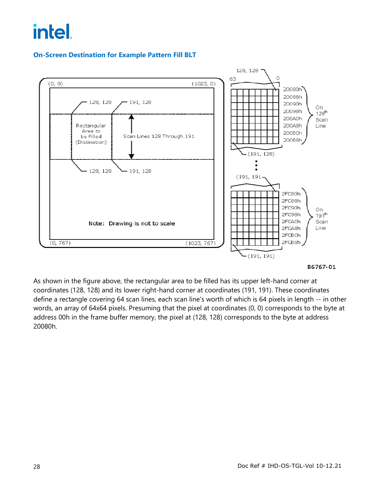## **On-Screen Destination for Example Pattern Fill BLT**



B6767-01

As shown in the figure above, the rectangular area to be filled has its upper left-hand corner at coordinates (128, 128) and its lower right-hand corner at coordinates (191, 191). These coordinates define a rectangle covering 64 scan lines, each scan line's worth of which is 64 pixels in length -- in other words, an array of 64x64 pixels. Presuming that the pixel at coordinates (0, 0) corresponds to the byte at address 00h in the frame buffer memory, the pixel at (128, 128) corresponds to the byte at address 20080h.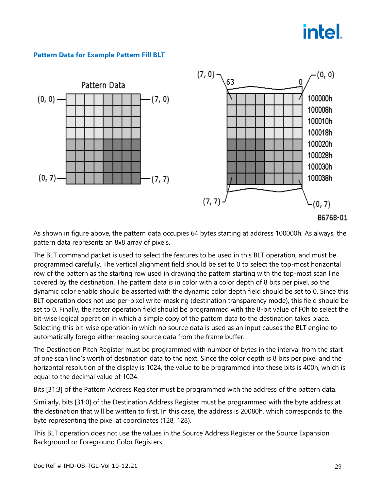### **Pattern Data for Example Pattern Fill BLT**



As shown in figure above, the pattern data occupies 64 bytes starting at address 100000h. As always, the pattern data represents an 8x8 array of pixels.

The BLT command packet is used to select the features to be used in this BLT operation, and must be programmed carefully. The vertical alignment field should be set to 0 to select the top-most horizontal row of the pattern as the starting row used in drawing the pattern starting with the top-most scan line covered by the destination. The pattern data is in color with a color depth of 8 bits per pixel, so the dynamic color enable should be asserted with the dynamic color depth field should be set to 0. Since this BLT operation does not use per-pixel write-masking (destination transparency mode), this field should be set to 0. Finally, the raster operation field should be programmed with the 8-bit value of F0h to select the bit-wise logical operation in which a simple copy of the pattern data to the destination takes place. Selecting this bit-wise operation in which no source data is used as an input causes the BLT engine to automatically forego either reading source data from the frame buffer.

The Destination Pitch Register must be programmed with number of bytes in the interval from the start of one scan line's worth of destination data to the next. Since the color depth is 8 bits per pixel and the horizontal resolution of the display is 1024, the value to be programmed into these bits is 400h, which is equal to the decimal value of 1024.

Bits [31:3] of the Pattern Address Register must be programmed with the address of the pattern data.

Similarly, bits [31:0] of the Destination Address Register must be programmed with the byte address at the destination that will be written to first. In this case, the address is 20080h, which corresponds to the byte representing the pixel at coordinates (128, 128).

This BLT operation does not use the values in the Source Address Register or the Source Expansion Background or Foreground Color Registers.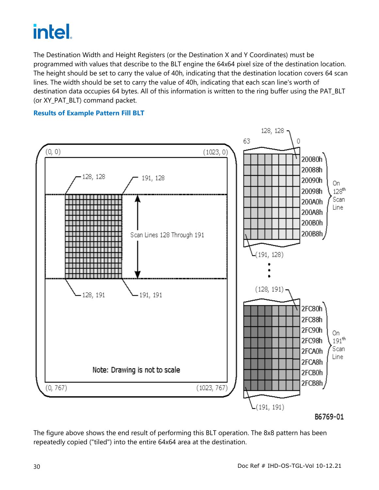The Destination Width and Height Registers (or the Destination X and Y Coordinates) must be programmed with values that describe to the BLT engine the 64x64 pixel size of the destination location. The height should be set to carry the value of 40h, indicating that the destination location covers 64 scan lines. The width should be set to carry the value of 40h, indicating that each scan line's worth of destination data occupies 64 bytes. All of this information is written to the ring buffer using the PAT\_BLT (or XY\_PAT\_BLT) command packet.

#### **Results of Example Pattern Fill BLT**



The figure above shows the end result of performing this BLT operation. The 8x8 pattern has been repeatedly copied ("tiled") into the entire 64x64 area at the destination.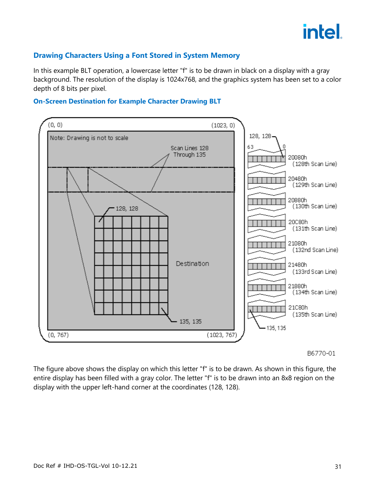

## **Drawing Characters Using a Font Stored in System Memory**

In this example BLT operation, a lowercase letter "f" is to be drawn in black on a display with a gray background. The resolution of the display is 1024x768, and the graphics system has been set to a color depth of 8 bits per pixel.

#### **On-Screen Destination for Example Character Drawing BLT**



B6770-01

The figure above shows the display on which this letter "f" is to be drawn. As shown in this figure, the entire display has been filled with a gray color. The letter "f" is to be drawn into an 8x8 region on the display with the upper left-hand corner at the coordinates (128, 128).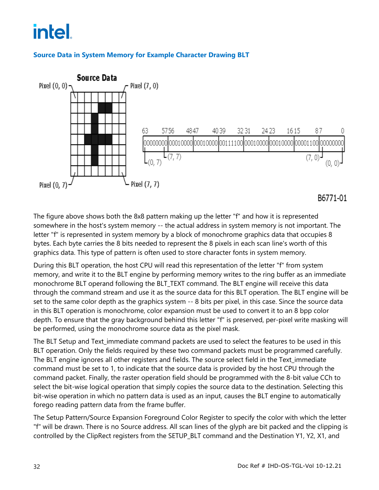## **Source Data in System Memory for Example Character Drawing BLT**



B6771-01

The figure above shows both the 8x8 pattern making up the letter "f" and how it is represented somewhere in the host's system memory -- the actual address in system memory is not important. The letter "f" is represented in system memory by a block of monochrome graphics data that occupies 8 bytes. Each byte carries the 8 bits needed to represent the 8 pixels in each scan line's worth of this graphics data. This type of pattern is often used to store character fonts in system memory.

During this BLT operation, the host CPU will read this representation of the letter "f" from system memory, and write it to the BLT engine by performing memory writes to the ring buffer as an immediate monochrome BLT operand following the BLT\_TEXT command. The BLT engine will receive this data through the command stream and use it as the source data for this BLT operation. The BLT engine will be set to the same color depth as the graphics system -- 8 bits per pixel, in this case. Since the source data in this BLT operation is monochrome, color expansion must be used to convert it to an 8 bpp color depth. To ensure that the gray background behind this letter "f" is preserved, per-pixel write masking will be performed, using the monochrome source data as the pixel mask.

The BLT Setup and Text immediate command packets are used to select the features to be used in this BLT operation. Only the fields required by these two command packets must be programmed carefully. The BLT engine ignores all other registers and fields. The source select field in the Text\_immediate command must be set to 1, to indicate that the source data is provided by the host CPU through the command packet. Finally, the raster operation field should be programmed with the 8-bit value CCh to select the bit-wise logical operation that simply copies the source data to the destination. Selecting this bit-wise operation in which no pattern data is used as an input, causes the BLT engine to automatically forego reading pattern data from the frame buffer.

The Setup Pattern/Source Expansion Foreground Color Register to specify the color with which the letter "f" will be drawn. There is no Source address. All scan lines of the glyph are bit packed and the clipping is controlled by the ClipRect registers from the SETUP\_BLT command and the Destination Y1, Y2, X1, and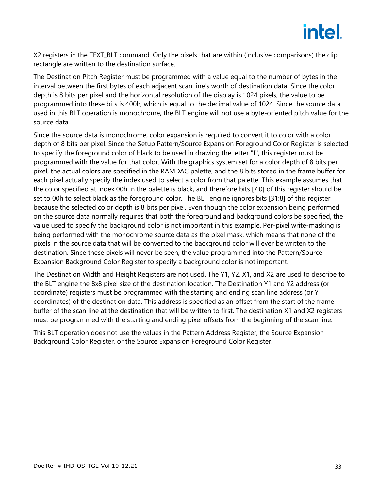

X2 registers in the TEXT BLT command. Only the pixels that are within (inclusive comparisons) the clip rectangle are written to the destination surface.

The Destination Pitch Register must be programmed with a value equal to the number of bytes in the interval between the first bytes of each adjacent scan line's worth of destination data. Since the color depth is 8 bits per pixel and the horizontal resolution of the display is 1024 pixels, the value to be programmed into these bits is 400h, which is equal to the decimal value of 1024. Since the source data used in this BLT operation is monochrome, the BLT engine will not use a byte-oriented pitch value for the source data.

Since the source data is monochrome, color expansion is required to convert it to color with a color depth of 8 bits per pixel. Since the Setup Pattern/Source Expansion Foreground Color Register is selected to specify the foreground color of black to be used in drawing the letter "f", this register must be programmed with the value for that color. With the graphics system set for a color depth of 8 bits per pixel, the actual colors are specified in the RAMDAC palette, and the 8 bits stored in the frame buffer for each pixel actually specify the index used to select a color from that palette. This example assumes that the color specified at index 00h in the palette is black, and therefore bits [7:0] of this register should be set to 00h to select black as the foreground color. The BLT engine ignores bits [31:8] of this register because the selected color depth is 8 bits per pixel. Even though the color expansion being performed on the source data normally requires that both the foreground and background colors be specified, the value used to specify the background color is not important in this example. Per-pixel write-masking is being performed with the monochrome source data as the pixel mask, which means that none of the pixels in the source data that will be converted to the background color will ever be written to the destination. Since these pixels will never be seen, the value programmed into the Pattern/Source Expansion Background Color Register to specify a background color is not important.

The Destination Width and Height Registers are not used. The Y1, Y2, X1, and X2 are used to describe to the BLT engine the 8x8 pixel size of the destination location. The Destination Y1 and Y2 address (or coordinate) registers must be programmed with the starting and ending scan line address (or Y coordinates) of the destination data. This address is specified as an offset from the start of the frame buffer of the scan line at the destination that will be written to first. The destination X1 and X2 registers must be programmed with the starting and ending pixel offsets from the beginning of the scan line.

This BLT operation does not use the values in the Pattern Address Register, the Source Expansion Background Color Register, or the Source Expansion Foreground Color Register.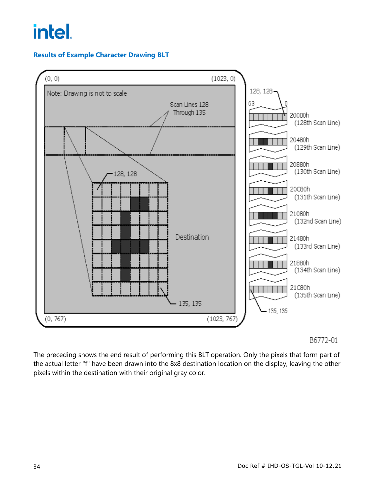# **Results of Example Character Drawing BLT**



### B6772-01

The preceding shows the end result of performing this BLT operation. Only the pixels that form part of the actual letter "f" have been drawn into the 8x8 destination location on the display, leaving the other pixels within the destination with their original gray color.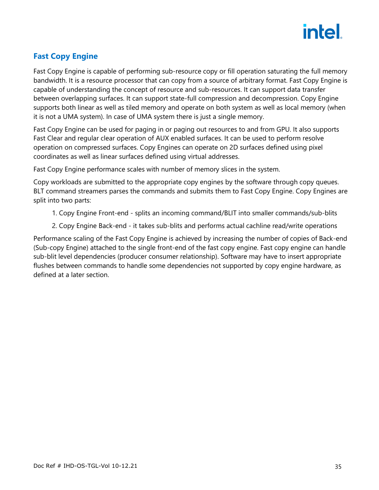

# <span id="page-38-0"></span>**Fast Copy Engine**

Fast Copy Engine is capable of performing sub-resource copy or fill operation saturating the full memory bandwidth. It is a resource processor that can copy from a source of arbitrary format. Fast Copy Engine is capable of understanding the concept of resource and sub-resources. It can support data transfer between overlapping surfaces. It can support state-full compression and decompression. Copy Engine supports both linear as well as tiled memory and operate on both system as well as local memory (when it is not a UMA system). In case of UMA system there is just a single memory.

Fast Copy Engine can be used for paging in or paging out resources to and from GPU. It also supports Fast Clear and regular clear operation of AUX enabled surfaces. It can be used to perform resolve operation on compressed surfaces. Copy Engines can operate on 2D surfaces defined using pixel coordinates as well as linear surfaces defined using virtual addresses.

Fast Copy Engine performance scales with number of memory slices in the system.

Copy workloads are submitted to the appropriate copy engines by the software through copy queues. BLT command streamers parses the commands and submits them to Fast Copy Engine. Copy Engines are split into two parts:

- 1. Copy Engine Front-end splits an incoming command/BLIT into smaller commands/sub-blits
- 2. Copy Engine Back-end it takes sub-blits and performs actual cachline read/write operations

Performance scaling of the Fast Copy Engine is achieved by increasing the number of copies of Back-end (Sub-copy Engine) attached to the single front-end of the fast copy engine. Fast copy engine can handle sub-blit level dependencies (producer consumer relationship). Software may have to insert appropriate flushes between commands to handle some dependencies not supported by copy engine hardware, as defined at a later section.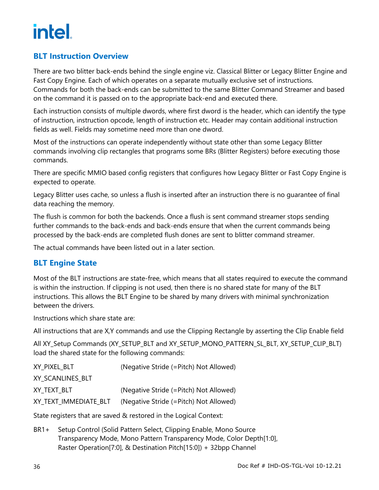# <span id="page-39-0"></span>**BLT Instruction Overview**

There are two blitter back-ends behind the single engine viz. Classical Blitter or Legacy Blitter Engine and Fast Copy Engine. Each of which operates on a separate mutually exclusive set of instructions. Commands for both the back-ends can be submitted to the same Blitter Command Streamer and based on the command it is passed on to the appropriate back-end and executed there.

Each instruction consists of multiple dwords, where first dword is the header, which can identify the type of instruction, instruction opcode, length of instruction etc. Header may contain additional instruction fields as well. Fields may sometime need more than one dword.

Most of the instructions can operate independently without state other than some Legacy Blitter commands involving clip rectangles that programs some BRs (Blitter Registers) before executing those commands.

There are specific MMIO based config registers that configures how Legacy Blitter or Fast Copy Engine is expected to operate.

Legacy Blitter uses cache, so unless a flush is inserted after an instruction there is no guarantee of final data reaching the memory.

The flush is common for both the backends. Once a flush is sent command streamer stops sending further commands to the back-ends and back-ends ensure that when the current commands being processed by the back-ends are completed flush dones are sent to blitter command streamer.

The actual commands have been listed out in a later section.

# <span id="page-39-1"></span>**BLT Engine State**

Most of the BLT instructions are state-free, which means that all states required to execute the command is within the instruction. If clipping is not used, then there is no shared state for many of the BLT instructions. This allows the BLT Engine to be shared by many drivers with minimal synchronization between the drivers.

Instructions which share state are:

All instructions that are X,Y commands and use the Clipping Rectangle by asserting the Clip Enable field

All XY\_Setup Commands (XY\_SETUP\_BLT and XY\_SETUP\_MONO\_PATTERN\_SL\_BLT, XY\_SETUP\_CLIP\_BLT) load the shared state for the following commands:

| XY_PIXEL_BLT          | (Negative Stride (=Pitch) Not Allowed) |
|-----------------------|----------------------------------------|
| XY SCANLINES BLT      |                                        |
| XY TEXT BLT           | (Negative Stride (=Pitch) Not Allowed) |
| XY TEXT IMMEDIATE BLT | (Negative Stride (=Pitch) Not Allowed) |

State registers that are saved & restored in the Logical Context:

BR1+ Setup Control (Solid Pattern Select, Clipping Enable, Mono Source Transparency Mode, Mono Pattern Transparency Mode, Color Depth[1:0], Raster Operation[7:0], & Destination Pitch[15:0]) + 32bpp Channel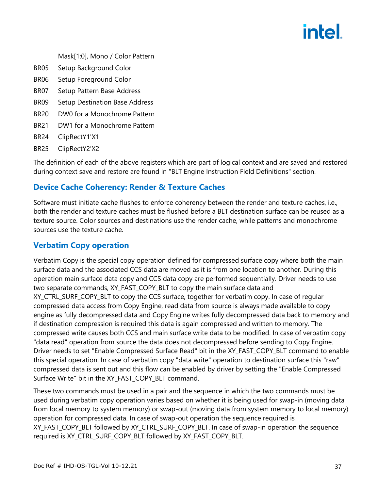- Mask[1:0], Mono / Color Pattern
- BR05 Setup Background Color
- BR06 Setup Foreground Color
- BR07 Setup Pattern Base Address
- BR09 Setup Destination Base Address
- BR20 DW0 for a Monochrome Pattern
- BR21 DW1 for a Monochrome Pattern
- BR24 ClipRectY1'X1
- BR25 ClipRectY2'X2

The definition of each of the above registers which are part of logical context and are saved and restored during context save and restore are found in "BLT Engine Instruction Field Definitions" section.

## <span id="page-40-0"></span>**Device Cache Coherency: Render & Texture Caches**

Software must initiate cache flushes to enforce coherency between the render and texture caches, i.e., both the render and texture caches must be flushed before a BLT destination surface can be reused as a texture source. Color sources and destinations use the render cache, while patterns and monochrome sources use the texture cache.

### <span id="page-40-1"></span>**Verbatim Copy operation**

Verbatim Copy is the special copy operation defined for compressed surface copy where both the main surface data and the associated CCS data are moved as it is from one location to another. During this operation main surface data copy and CCS data copy are performed sequentially. Driver needs to use two separate commands, XY\_FAST\_COPY\_BLT to copy the main surface data and XY\_CTRL\_SURF\_COPY\_BLT to copy the CCS surface, together for verbatim copy. In case of regular compressed data access from Copy Engine, read data from source is always made available to copy engine as fully decompressed data and Copy Engine writes fully decompressed data back to memory and if destination compression is required this data is again compressed and written to memory. The compressed write causes both CCS and main surface write data to be modified. In case of verbatim copy "data read" operation from source the data does not decompressed before sending to Copy Engine. Driver needs to set "Enable Compressed Surface Read" bit in the XY\_FAST\_COPY\_BLT command to enable this special operation. In case of verbatim copy "data write" operation to destination surface this "raw" compressed data is sent out and this flow can be enabled by driver by setting the "Enable Compressed Surface Write" bit in the XY\_FAST\_COPY\_BLT command.

These two commands must be used in a pair and the sequence in which the two commands must be used during verbatim copy operation varies based on whether it is being used for swap-in (moving data from local memory to system memory) or swap-out (moving data from system memory to local memory) operation for compressed data. In case of swap-out operation the sequence required is XY\_FAST\_COPY\_BLT followed by XY\_CTRL\_SURF\_COPY\_BLT. In case of swap-in operation the sequence required is XY\_CTRL\_SURF\_COPY\_BLT followed by XY\_FAST\_COPY\_BLT.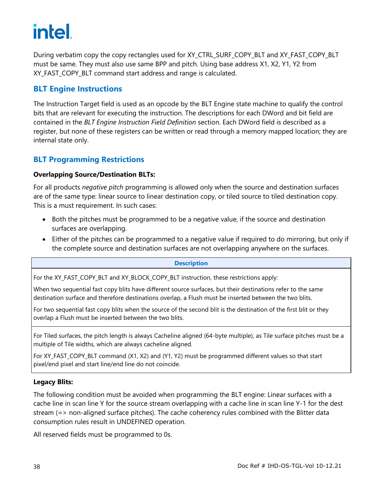During verbatim copy the copy rectangles used for XY\_CTRL\_SURF\_COPY\_BLT and XY\_FAST\_COPY\_BLT must be same. They must also use same BPP and pitch. Using base address X1, X2, Y1, Y2 from XY\_FAST\_COPY\_BLT command start address and range is calculated.

# <span id="page-41-0"></span>**BLT Engine Instructions**

The Instruction Target field is used as an opcode by the BLT Engine state machine to qualify the control bits that are relevant for executing the instruction. The descriptions for each DWord and bit field are contained in the *BLT Engine Instruction Field Definition* section. Each DWord field is described as a register, but none of these registers can be written or read through a memory mapped location; they are internal state only.

## **BLT Programming Restrictions**

### **Overlapping Source/Destination BLTs:**

For all products *negative pitch* programming is allowed only when the source and destination surfaces are of the same type: linear source to linear destination copy, or tiled source to tiled destination copy. This is a must requirement. In such cases:

- Both the pitches must be programmed to be a negative value, if the source and destination surfaces are overlapping.
- Either of the pitches can be programmed to a negative value if required to do mirroring, but only if the complete source and destination surfaces are not overlapping anywhere on the surfaces.

**Description**

For the XY\_FAST\_COPY\_BLT and XY\_BLOCK\_COPY\_BLT instruction, these restrictions apply:

When two sequential fast copy blits have different source surfaces, but their destinations refer to the same destination surface and therefore destinations overlap, a Flush must be inserted between the two blits.

For two sequential fast copy blits when the source of the second blit is the destination of the first blit or they overlap a Flush must be inserted between the two blits.

For Tiled surfaces, the pitch length is always Cacheline aligned (64-byte multiple), as Tile surface pitches must be a multiple of Tile widths, which are always cacheline aligned.

For XY\_FAST\_COPY\_BLT command (X1, X2) and (Y1, Y2) must be programmed different values so that start pixel/end pixel and start line/end line do not coincide.

#### **Legacy Blits:**

The following condition must be avoided when programming the BLT engine: Linear surfaces with a cache line in scan line Y for the source stream overlapping with a cache line in scan line Y-1 for the dest stream (=> non-aligned surface pitches). The cache coherency rules combined with the Blitter data consumption rules result in UNDEFINED operation.

All reserved fields must be programmed to 0s.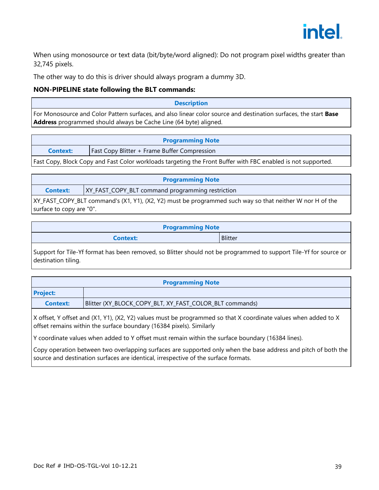

When using monosource or text data (bit/byte/word aligned): Do not program pixel widths greater than 32,745 pixels.

The other way to do this is driver should always program a dummy 3D.

#### **NON-PIPELINE state following the BLT commands:**

## **Description** For Monosource and Color Pattern surfaces, and also linear color source and destination surfaces, the start **Base Address** programmed should always be Cache Line (64 byte) aligned.

| <b>Programming Note</b>                                                                                      |                                                     |
|--------------------------------------------------------------------------------------------------------------|-----------------------------------------------------|
| <b>Context:</b>                                                                                              | <b>Fast Copy Blitter + Frame Buffer Compression</b> |
| Fast Copy, Block Copy and Fast Color workloads targeting the Front Buffer with FBC enabled is not supported. |                                                     |

| <b>Programming Note</b> |                                                                                                          |  |
|-------------------------|----------------------------------------------------------------------------------------------------------|--|
| <b>Context:</b>         | XY_FAST_COPY_BLT command programming restriction                                                         |  |
|                         | XY_FAST_COPY_BLT command's (X1, Y1), (X2, Y2) must be programmed such way so that neither W nor H of the |  |

surface to copy are "0".

| <b>Programming Note</b> |                |  |
|-------------------------|----------------|--|
| <b>Context:</b>         | <b>Blitter</b> |  |
|                         |                |  |

Support for Tile-Yf format has been removed, so Blitter should not be programmed to support Tile-Yf for source or destination tiling.

| <b>Programming Note</b> |                                                                                                                                                                                         |
|-------------------------|-----------------------------------------------------------------------------------------------------------------------------------------------------------------------------------------|
| <b>Project:</b>         |                                                                                                                                                                                         |
| <b>Context:</b>         | Blitter (XY_BLOCK_COPY_BLT, XY_FAST_COLOR_BLT commands)                                                                                                                                 |
|                         | X offset, Y offset and (X1, Y1), (X2, Y2) values must be programmed so that X coordinate values when added to X<br>offset remains within the surface boundary (16384 pixels). Similarly |

Y coordinate values when added to Y offset must remain within the surface boundary (16384 lines).

Copy operation between two overlapping surfaces are supported only when the base address and pitch of both the source and destination surfaces are identical, irrespective of the surface formats.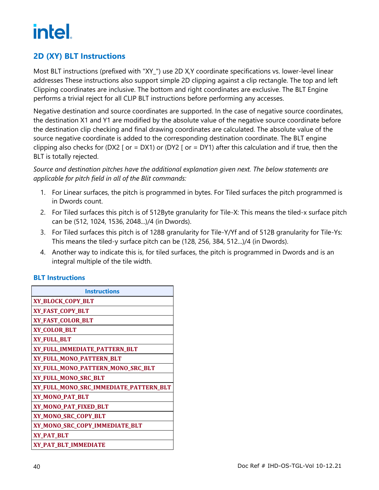# <span id="page-43-0"></span>**2D (XY) BLT Instructions**

Most BLT instructions (prefixed with "XY\_") use 2D X,Y coordinate specifications vs. lower-level linear addresses These instructions also support simple 2D clipping against a clip rectangle. The top and left Clipping coordinates are inclusive. The bottom and right coordinates are exclusive. The BLT Engine performs a trivial reject for all CLIP BLT instructions before performing any accesses.

Negative destination and source coordinates are supported. In the case of negative source coordinates, the destination X1 and Y1 are modified by the absolute value of the negative source coordinate before the destination clip checking and final drawing coordinates are calculated. The absolute value of the source negative coordinate is added to the corresponding destination coordinate. The BLT engine clipping also checks for (DX2 [ or = DX1) or (DY2 [ or = DY1) after this calculation and if true, then the BLT is totally rejected.

### *Source and destination pitches have the additional explanation given next. The below statements are applicable for pitch field in all of the Blit commands:*

- 1. For Linear surfaces, the pitch is programmed in bytes. For Tiled surfaces the pitch programmed is in Dwords count.
- 2. For Tiled surfaces this pitch is of 512Byte granularity for Tile-X: This means the tiled-x surface pitch can be (512, 1024, 1536, 2048...)/4 (in Dwords).
- 3. For Tiled surfaces this pitch is of 128B granularity for Tile-Y/Yf and of 512B granularity for Tile-Ys: This means the tiled-y surface pitch can be (128, 256, 384, 512...)/4 (in Dwords).
- 4. Another way to indicate this is, for tiled surfaces, the pitch is programmed in Dwords and is an integral multiple of the tile width.

### **BLT Instructions**

| <b>Instructions</b>                    |
|----------------------------------------|
| XY_BLOCK_COPY_BLT                      |
| XY_FAST_COPY_BLT                       |
| XY_FAST_COLOR_BLT                      |
| <b>XY_COLOR_BLT</b>                    |
| XY_FULL_BLT                            |
| XY_FULL_IMMEDIATE_PATTERN_BLT          |
| XY_FULL_MONO_PATTERN_BLT               |
| XY_FULL_MONO_PATTERN_MONO_SRC_BLT      |
| XY_FULL_MONO_SRC_BLT                   |
| XY_FULL_MONO_SRC_IMMEDIATE_PATTERN_BLT |
| XY_MONO_PAT_BLT                        |
| XY_MONO_PAT_FIXED_BLT                  |
| XY_MONO_SRC_COPY_BLT                   |
| XY_MONO_SRC_COPY_IMMEDIATE_BLT         |
| <b>XY_PAT_BLT</b>                      |
| XY_PAT_BLT_IMMEDIATE                   |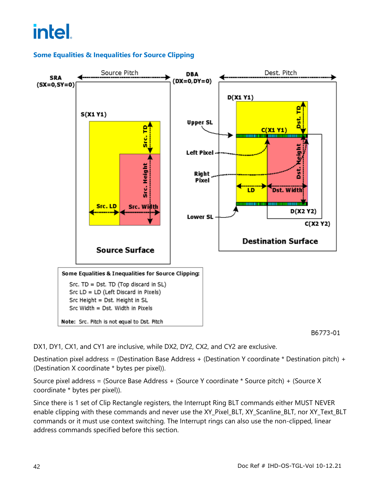## **Some Equalities & Inequalities for Source Clipping**



B6773-01

DX1, DY1, CX1, and CY1 are inclusive, while DX2, DY2, CX2, and CY2 are exclusive.

Destination pixel address = (Destination Base Address + (Destination Y coordinate \* Destination pitch) + (Destination X coordinate \* bytes per pixel)).

Source pixel address = (Source Base Address + (Source Y coordinate \* Source pitch) + (Source X coordinate \* bytes per pixel)).

Since there is 1 set of Clip Rectangle registers, the Interrupt Ring BLT commands either MUST NEVER enable clipping with these commands and never use the XY\_Pixel\_BLT, XY\_Scanline\_BLT, nor XY\_Text\_BLT commands or it must use context switching. The Interrupt rings can also use the non-clipped, linear address commands specified before this section.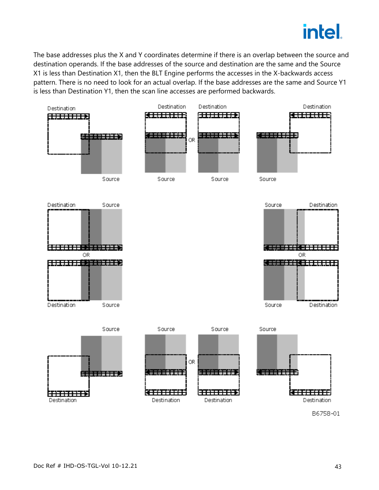

The base addresses plus the X and Y coordinates determine if there is an overlap between the source and destination operands. If the base addresses of the source and destination are the same and the Source X1 is less than Destination X1, then the BLT Engine performs the accesses in the X-backwards access pattern. There is no need to look for an actual overlap. If the base addresses are the same and Source Y1 is less than Destination Y1, then the scan line accesses are performed backwards.



B6758-01